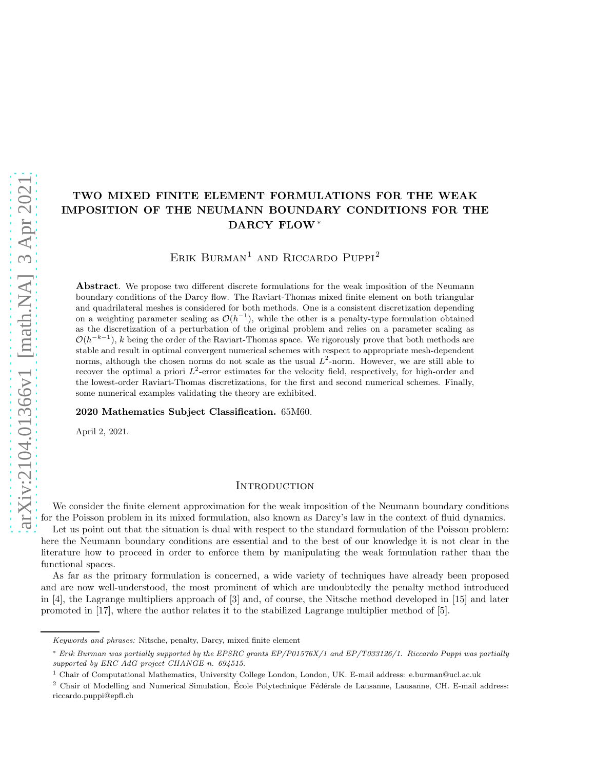# TWO MIXED FINITE ELEMENT FORMULATIONS FOR THE WEAK IMPOSITION OF THE NEUMANN BOUNDARY CONDITIONS FOR THE DARCY FLOW<sup>∗</sup>

ERIK BURMAN<sup>1</sup> AND RICCARDO PUPPI<sup>2</sup>

Abstract. We propose two different discrete formulations for the weak imposition of the Neumann boundary conditions of the Darcy flow. The Raviart-Thomas mixed finite element on both triangular and quadrilateral meshes is considered for both methods. One is a consistent discretization depending on a weighting parameter scaling as  $\mathcal{O}(h^{-1})$ , while the other is a penalty-type formulation obtained as the discretization of a perturbation of the original problem and relies on a parameter scaling as  $\mathcal{O}(h^{-k-1})$ , k being the order of the Raviart-Thomas space. We rigorously prove that both methods are stable and result in optimal convergent numerical schemes with respect to appropriate mesh-dependent norms, although the chosen norms do not scale as the usual  $L^2$ -norm. However, we are still able to recover the optimal a priori  $L^2$ -error estimates for the velocity field, respectively, for high-order and the lowest-order Raviart-Thomas discretizations, for the first and second numerical schemes. Finally, some numerical examples validating the theory are exhibited.

#### 2020 Mathematics Subject Classification. 65M60.

April 2, 2021.

### **INTRODUCTION**

We consider the finite element approximation for the weak imposition of the Neumann boundary conditions for the Poisson problem in its mixed formulation, also known as Darcy's law in the context of fluid dynamics.

Let us point out that the situation is dual with respect to the standard formulation of the Poisson problem: here the Neumann boundary conditions are essential and to the best of our knowledge it is not clear in the literature how to proceed in order to enforce them by manipulating the weak formulation rather than the functional spaces.

As far as the primary formulation is concerned, a wide variety of techniques have already been proposed and are now well-understood, the most prominent of which are undoubtedly the penalty method introduced in [\[4\]](#page-30-0), the Lagrange multipliers approach of [\[3\]](#page-30-1) and, of course, the Nitsche method developed in [\[15\]](#page-30-2) and later promoted in [\[17\]](#page-30-3), where the author relates it to the stabilized Lagrange multiplier method of [\[5\]](#page-30-4).

Keywords and phrases: Nitsche, penalty, Darcy, mixed finite element

<sup>∗</sup> Erik Burman was partially supported by the EPSRC grants EP/P01576X/1 and EP/T033126/1. Riccardo Puppi was partially supported by ERC AdG project CHANGE n. 694515.

<sup>1</sup> Chair of Computational Mathematics, University College London, London, UK. E-mail address: e.burman@ucl.ac.uk

 $2$  Chair of Modelling and Numerical Simulation, École Polytechnique Fédérale de Lausanne, Lausanne, CH. E-mail address: riccardo.puppi@epfl.ch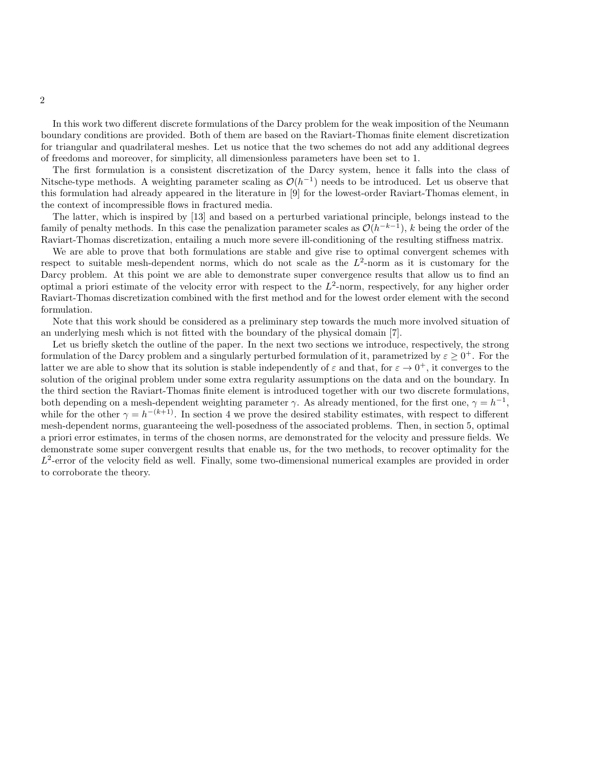In this work two different discrete formulations of the Darcy problem for the weak imposition of the Neumann boundary conditions are provided. Both of them are based on the Raviart-Thomas finite element discretization for triangular and quadrilateral meshes. Let us notice that the two schemes do not add any additional degrees of freedoms and moreover, for simplicity, all dimensionless parameters have been set to 1.

The first formulation is a consistent discretization of the Darcy system, hence it falls into the class of Nitsche-type methods. A weighting parameter scaling as  $\mathcal{O}(h^{-1})$  needs to be introduced. Let us observe that this formulation had already appeared in the literature in [\[9\]](#page-30-5) for the lowest-order Raviart-Thomas element, in the context of incompressible flows in fractured media.

The latter, which is inspired by [\[13\]](#page-30-6) and based on a perturbed variational principle, belongs instead to the family of penalty methods. In this case the penalization parameter scales as  $\mathcal{O}(h^{-k-1})$ , k being the order of the Raviart-Thomas discretization, entailing a much more severe ill-conditioning of the resulting stiffness matrix.

We are able to prove that both formulations are stable and give rise to optimal convergent schemes with respect to suitable mesh-dependent norms, which do not scale as the  $L^2$ -norm as it is customary for the Darcy problem. At this point we are able to demonstrate super convergence results that allow us to find an optimal a priori estimate of the velocity error with respect to the  $L^2$ -norm, respectively, for any higher order Raviart-Thomas discretization combined with the first method and for the lowest order element with the second formulation.

Note that this work should be considered as a preliminary step towards the much more involved situation of an underlying mesh which is not fitted with the boundary of the physical domain [\[7\]](#page-30-7).

Let us briefly sketch the outline of the paper. In the next two sections we introduce, respectively, the strong formulation of the Darcy problem and a singularly perturbed formulation of it, parametrized by  $\varepsilon \geq 0^+$ . For the latter we are able to show that its solution is stable independently of  $\varepsilon$  and that, for  $\varepsilon \to 0^+$ , it converges to the solution of the original problem under some extra regularity assumptions on the data and on the boundary. In the third section the Raviart-Thomas finite element is introduced together with our two discrete formulations, both depending on a mesh-dependent weighting parameter  $\gamma$ . As already mentioned, for the first one,  $\gamma = h^{-1}$ , while for the other  $\gamma = h^{-(k+1)}$ . In section 4 we prove the desired stability estimates, with respect to different mesh-dependent norms, guaranteeing the well-posedness of the associated problems. Then, in section 5, optimal a priori error estimates, in terms of the chosen norms, are demonstrated for the velocity and pressure fields. We demonstrate some super convergent results that enable us, for the two methods, to recover optimality for the  $L^2$ -error of the velocity field as well. Finally, some two-dimensional numerical examples are provided in order to corroborate the theory.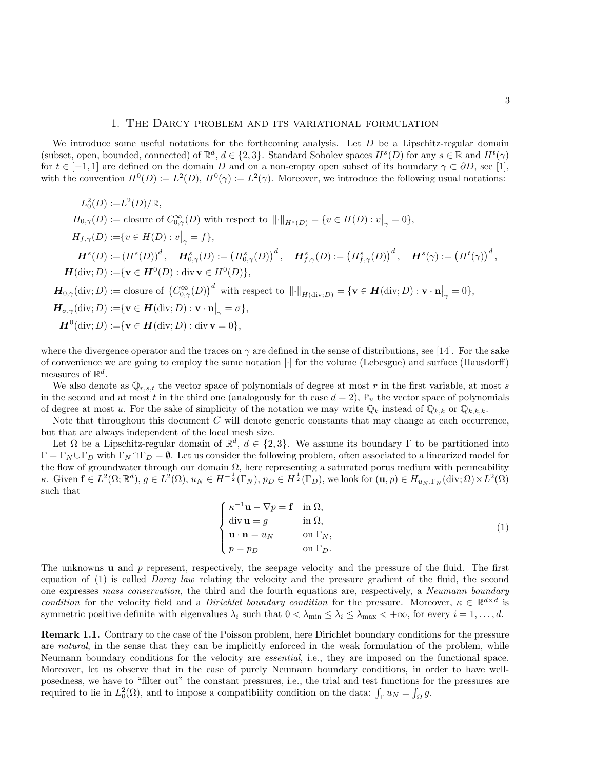## 1. The Darcy problem and its variational formulation

We introduce some useful notations for the forthcoming analysis. Let  $D$  be a Lipschitz-regular domain (subset, open, bounded, connected) of  $\mathbb{R}^d$ ,  $d \in \{2,3\}$ . Standard Sobolev spaces  $H^s(D)$  for any  $s \in \mathbb{R}$  and  $H^t(\gamma)$ for  $t \in [-1,1]$  are defined on the domain D and on a non-empty open subset of its boundary  $\gamma \subset \partial D$ , see [\[1\]](#page-30-8), with the convention  $H^0(D) := L^2(D)$ ,  $H^0(\gamma) := L^2(\gamma)$ . Moreover, we introduce the following usual notations:

 $L_0^2(D) := L^2(D)/\mathbb{R},$  $H_{0,\gamma}(D) := \text{closure of } C^{\infty}_{0,\gamma}(D) \text{ with respect to } ||\cdot||_{H^s(D)} = \{v \in H(D) : v\big|_{\gamma} = 0\},\$  $H_{f,\gamma}(D) := \{ v \in H(D) : v|_{\gamma} = f \},\$  $\boldsymbol{H}^s(D):=(H^s(D))^d\,,\quad \boldsymbol{H}^s_{0,\gamma}(D):=\big(H^s_{0,\gamma}(D)\big)^d\,,\quad \boldsymbol{H}^s_{f,\gamma}(D):=\big(H^s_{f,\gamma}(D)\big)^d\,,\quad \boldsymbol{H}^s(\gamma):=\big(H^t(\gamma)\big)^d\,,$  $H(\text{div}; D) := \{ \mathbf{v} \in H^0(D) : \text{div } \mathbf{v} \in H^0(D) \},\$  $\boldsymbol{H}_{0,\gamma}(\text{div}; D) := \text{closure of } \left(C^{\infty}_{0,\gamma}(D)\right)^d \text{ with respect to } \left\|\cdot\right\|_{H(\text{div}; D)} = \{\mathbf{v} \in \boldsymbol{H}(\text{div}; D) : \mathbf{v} \cdot \mathbf{n}\right|_{\gamma} = 0\},$  $\boldsymbol{H}_{\sigma,\gamma}(\text{div};D) := \n\{\mathbf{v} \in \boldsymbol{H}(\text{div};D) : \mathbf{v} \cdot \mathbf{n} \big|_{\gamma} = \sigma \},$  ${\bm H}^0({\rm div};D):=\!\{{\bf v}\in{\bm H}({\rm div};D):\mathop{\rm div}{\bf v}=0\},$ 

where the divergence operator and the traces on  $\gamma$  are defined in the sense of distributions, see [\[14\]](#page-30-9). For the sake of convenience we are going to employ the same notation |·| for the volume (Lebesgue) and surface (Hausdorff) measures of  $\mathbb{R}^d$ .

We also denote as  $\mathbb{Q}_{r,s,t}$  the vector space of polynomials of degree at most r in the first variable, at most s in the second and at most t in the third one (analogously for th case  $d = 2$ ),  $\mathbb{P}_u$  the vector space of polynomials of degree at most u. For the sake of simplicity of the notation we may write  $\mathbb{Q}_k$  instead of  $\mathbb{Q}_{k,k}$  or  $\mathbb{Q}_{k,k,k}$ .

Note that throughout this document  $C$  will denote generic constants that may change at each occurrence, but that are always independent of the local mesh size.

Let  $\Omega$  be a Lipschitz-regular domain of  $\mathbb{R}^d$ ,  $d \in \{2,3\}$ . We assume its boundary  $\Gamma$  to be partitioned into  $\Gamma = \Gamma_N \cup \Gamma_D$  with  $\Gamma_N \cap \Gamma_D = \emptyset$ . Let us consider the following problem, often associated to a linearized model for the flow of groundwater through our domain  $\Omega$ , here representing a saturated porus medium with permeability  $\kappa$ . Given  $\mathbf{f} \in L^2(\Omega;\mathbb{R}^d)$ ,  $g \in L^2(\Omega)$ ,  $u_N \in H^{-\frac{1}{2}}(\Gamma_N)$ ,  $p_D \in H^{\frac{1}{2}}(\Gamma_D)$ , we look for  $(\mathbf{u}, p) \in H_{u_N, \Gamma_N}(\text{div}; \Omega) \times L^2(\Omega)$ such that

<span id="page-2-0"></span>
$$
\begin{cases}\n\kappa^{-1} \mathbf{u} - \nabla p = \mathbf{f} & \text{in } \Omega, \\
\text{div } \mathbf{u} = g & \text{in } \Omega, \\
\mathbf{u} \cdot \mathbf{n} = u_N & \text{on } \Gamma_N, \\
p = p_D & \text{on } \Gamma_D.\n\end{cases}
$$
\n(1)

The unknowns **u** and p represent, respectively, the seepage velocity and the pressure of the fluid. The first equation of [\(1\)](#page-2-0) is called Darcy law relating the velocity and the pressure gradient of the fluid, the second one expresses mass conservation, the third and the fourth equations are, respectively, a Neumann boundary condition for the velocity field and a *Dirichlet boundary condition* for the pressure. Moreover,  $\kappa \in \mathbb{R}^{d \times d}$  is symmetric positive definite with eigenvalues  $\lambda_i$  such that  $0 < \lambda_{\min} \leq \lambda_i \leq \lambda_{\max} < +\infty$ , for every  $i = 1, \ldots, d$ .

Remark 1.1. Contrary to the case of the Poisson problem, here Dirichlet boundary conditions for the pressure are natural, in the sense that they can be implicitly enforced in the weak formulation of the problem, while Neumann boundary conditions for the velocity are essential, i.e., they are imposed on the functional space. Moreover, let us observe that in the case of purely Neumann boundary conditions, in order to have wellposedness, we have to "filter out" the constant pressures, i.e., the trial and test functions for the pressures are required to lie in  $L_0^2(\Omega)$ , and to impose a compatibility condition on the data:  $\int_{\Gamma} u_N = \int_{\Omega} g$ .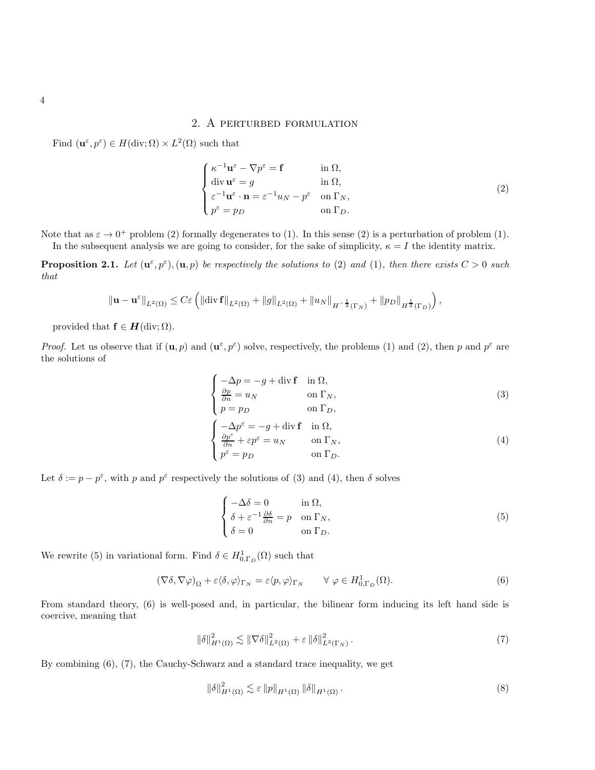# 2. A perturbed formulation

Find  $(\mathbf{u}^{\varepsilon}, p^{\varepsilon}) \in H(\text{div}; \Omega) \times L^2(\Omega)$  such that

<span id="page-3-0"></span>
$$
\begin{cases}\n\kappa^{-1} \mathbf{u}^{\varepsilon} - \nabla p^{\varepsilon} = \mathbf{f} & \text{in } \Omega, \\
\text{div } \mathbf{u}^{\varepsilon} = g & \text{in } \Omega, \\
\varepsilon^{-1} \mathbf{u}^{\varepsilon} \cdot \mathbf{n} = \varepsilon^{-1} u_N - p^{\varepsilon} & \text{on } \Gamma_N, \\
p^{\varepsilon} = p_D & \text{on } \Gamma_D.\n\end{cases}
$$
\n(2)

Note that as  $\varepsilon \to 0^+$  problem [\(2\)](#page-3-0) formally degenerates to [\(1\)](#page-2-0). In this sense (2) is a perturbation of problem (1). In the subsequent analysis we are going to consider, for the sake of simplicity,  $\kappa = I$  the identity matrix.

<span id="page-3-6"></span>**Proposition 2.1.** Let  $(\mathbf{u}^{\varepsilon}, p^{\varepsilon}), (\mathbf{u}, p)$  be respectively the solutions to [\(2\)](#page-3-0) and [\(1\)](#page-2-0), then there exists  $C > 0$  such that

$$
\|\mathbf{u}-\mathbf{u}^{\varepsilon}\|_{L^{2}(\Omega)} \leq C \varepsilon \left( \left\|\text{div}\,\mathbf{f}\right\|_{L^{2}(\Omega)} + \left\|g\right\|_{L^{2}(\Omega)} + \left\|u_{N}\right\|_{H^{-\frac{1}{2}}(\Gamma_{N})} + \left\|p_{D}\right\|_{H^{\frac{1}{2}}(\Gamma_{D})}\right),
$$

provided that  $f \in H(\text{div}; \Omega)$ .

*Proof.* Let us observe that if  $(\mathbf{u}, p)$  and  $(\mathbf{u}^{\varepsilon}, p^{\varepsilon})$  solve, respectively, the problems [\(1\)](#page-2-0) and [\(2\)](#page-3-0), then p and  $p^{\varepsilon}$  are the solutions of

<span id="page-3-1"></span>
$$
\begin{cases}\n-\Delta p = -g + \operatorname{div} \mathbf{f} & \text{in } \Omega, \\
\frac{\partial p}{\partial n} = u_N & \text{on } \Gamma_N, \\
p = p_D & \text{on } \Gamma_D, \\
\begin{cases}\n-\Delta p^{\varepsilon} = -g + \operatorname{div} \mathbf{f} & \text{in } \Omega, \\
\frac{\partial p^{\varepsilon}}{\partial n} + \varepsilon p^{\varepsilon} = u_N & \text{on } \Gamma_N, \\
p^{\varepsilon} = p_D & \text{on } \Gamma_D.\n\end{cases} (3)
$$

Let  $\delta := p - p^{\varepsilon}$ , with p and  $p^{\varepsilon}$  respectively the solutions of [\(3\)](#page-3-1) and [\(4\)](#page-3-2), then  $\delta$  solves

<span id="page-3-4"></span><span id="page-3-3"></span><span id="page-3-2"></span>
$$
\begin{cases}\n-\Delta\delta = 0 & \text{in } \Omega, \\
\delta + \varepsilon^{-1} \frac{\partial \delta}{\partial n} = p & \text{on } \Gamma_N, \\
\delta = 0 & \text{on } \Gamma_D.\n\end{cases}
$$
\n(5)

We rewrite [\(5\)](#page-3-3) in variational form. Find  $\delta \in H^1_{0,\Gamma_D}(\Omega)$  such that

$$
(\nabla \delta, \nabla \varphi)_{\Omega} + \varepsilon \langle \delta, \varphi \rangle_{\Gamma_N} = \varepsilon \langle p, \varphi \rangle_{\Gamma_N} \qquad \forall \varphi \in H^1_{0, \Gamma_D}(\Omega). \tag{6}
$$

From standard theory, [\(6\)](#page-3-4) is well-posed and, in particular, the bilinear form inducing its left hand side is coercive, meaning that

$$
\left\|\delta\right\|_{H^1(\Omega)}^2 \lesssim \left\|\nabla\delta\right\|_{L^2(\Omega)}^2 + \varepsilon \left\|\delta\right\|_{L^2(\Gamma_N)}^2. \tag{7}
$$

By combining [\(6\)](#page-3-4), [\(7\)](#page-3-5), the Cauchy-Schwarz and a standard trace inequality, we get

<span id="page-3-5"></span>
$$
\|\delta\|_{H^1(\Omega)}^2 \lesssim \varepsilon \|p\|_{H^1(\Omega)} \|\delta\|_{H^1(\Omega)}\,. \tag{8}
$$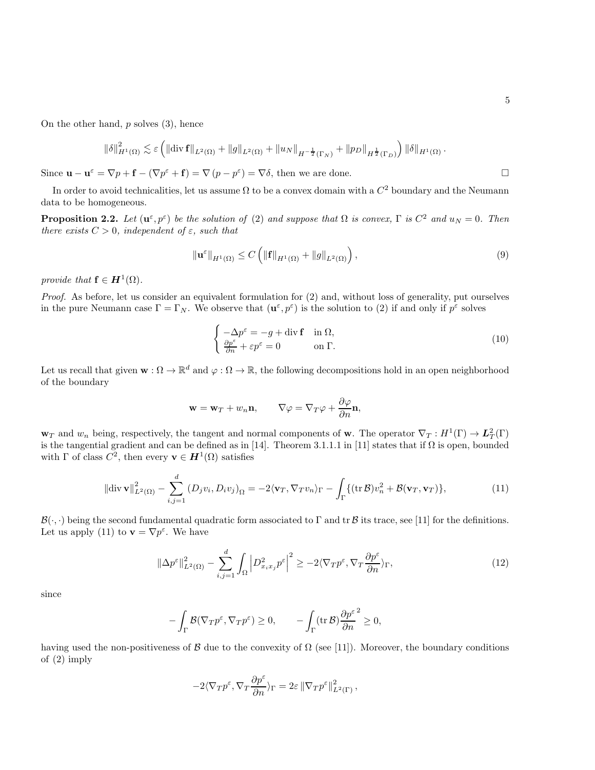On the other hand,  $p$  solves  $(3)$ , hence

$$
\|\delta\|_{H^1(\Omega)}^2 \lesssim \varepsilon \left( \left\| \text{\rm div}\, {\bf f} \right\|_{L^2(\Omega)} + \left\| g \right\|_{L^2(\Omega)} + \left\| u_N \right\|_{H^{-\frac{1}{2}}(\Gamma_N)} + \left\| p_D \right\|_{H^{\frac{1}{2}}(\Gamma_D)} \right) \|\delta\|_{H^1(\Omega)} \,.
$$

Since  $\mathbf{u} - \mathbf{u}^{\varepsilon} = \nabla p + \mathbf{f} - (\nabla p^{\varepsilon} + \mathbf{f}) = \nabla (p - p^{\varepsilon}) = \nabla \delta$ , then we are done.

In order to avoid technicalities, let us assume  $\Omega$  to be a convex domain with a  $C^2$  boundary and the Neumann data to be homogeneous.

<span id="page-4-2"></span>**Proposition 2.2.** Let  $(\mathbf{u}^{\varepsilon}, p^{\varepsilon})$  be the solution of [\(2\)](#page-3-0) and suppose that  $\Omega$  is convex,  $\Gamma$  is  $C^2$  and  $u_N = 0$ . Then there exists  $C > 0$ , independent of  $\varepsilon$ , such that

$$
\|\mathbf{u}^{\varepsilon}\|_{H^{1}(\Omega)} \leq C\left(\|\mathbf{f}\|_{H^{1}(\Omega)} + \|g\|_{L^{2}(\Omega)}\right),\tag{9}
$$

provide that  $f \in H^1(\Omega)$ .

Proof. As before, let us consider an equivalent formulation for [\(2\)](#page-3-0) and, without loss of generality, put ourselves in the pure Neumann case  $\Gamma = \Gamma_N$ . We observe that  $(\mathbf{u}^\varepsilon, p^\varepsilon)$  is the solution to [\(2\)](#page-3-0) if and only if  $p^\varepsilon$  solves

$$
\begin{cases}\n-\Delta p^{\varepsilon} = -g + \operatorname{div} \mathbf{f} & \text{in } \Omega, \\
\frac{\partial p^{\varepsilon}}{\partial n} + \varepsilon p^{\varepsilon} = 0 & \text{on } \Gamma.\n\end{cases}
$$
\n(10)

Let us recall that given  $\mathbf{w} : \Omega \to \mathbb{R}^d$  and  $\varphi : \Omega \to \mathbb{R}$ , the following decompositions hold in an open neighborhood of the boundary

<span id="page-4-0"></span>
$$
\mathbf{w} = \mathbf{w}_T + w_n \mathbf{n}, \qquad \nabla \varphi = \nabla_T \varphi + \frac{\partial \varphi}{\partial n} \mathbf{n},
$$

 $\mathbf{w}_T$  and  $w_n$  being, respectively, the tangent and normal components of **w**. The operator  $\nabla_T : H^1(\Gamma) \to L^2_T(\Gamma)$ is the tangential gradient and can be defined as in [\[14\]](#page-30-9). Theorem 3.1.1.1 in [\[11\]](#page-30-10) states that if  $\Omega$  is open, bounded with  $\Gamma$  of class  $C^2$ , then every  $\mathbf{v} \in \mathbf{H}^1(\Omega)$  satisfies

$$
\|\text{div }\mathbf{v}\|_{L^2(\Omega)}^2 - \sum_{i,j=1}^d (D_j v_i, D_i v_j)_{\Omega} = -2\langle \mathbf{v}_T, \nabla_T v_n \rangle_{\Gamma} - \int_{\Gamma} \{ (\text{tr }\mathcal{B}) v_n^2 + \mathcal{B}(\mathbf{v}_T, \mathbf{v}_T) \},\tag{11}
$$

 $\mathcal{B}(\cdot, \cdot)$  being the second fundamental quadratic form associated to Γ and tr B its trace, see [\[11\]](#page-30-10) for the definitions. Let us apply [\(11\)](#page-4-0) to  $\mathbf{v} = \nabla p^{\varepsilon}$ . We have

$$
\|\Delta p^{\varepsilon}\|_{L^{2}(\Omega)}^{2} - \sum_{i,j=1}^{d} \int_{\Omega} \left| D_{x_{i}x_{j}}^{2} p^{\varepsilon} \right|^{2} \geq -2\langle \nabla_{T} p^{\varepsilon}, \nabla_{T} \frac{\partial p^{\varepsilon}}{\partial n} \rangle_{\Gamma},\tag{12}
$$

since

$$
-\int_{\Gamma} \mathcal{B}(\nabla_T p^{\varepsilon}, \nabla_T p^{\varepsilon}) \ge 0, \qquad -\int_{\Gamma} (\operatorname{tr} \mathcal{B}) \frac{\partial p^{\varepsilon}}{\partial n}^2 \ge 0,
$$

having used the non-positiveness of B due to the convexity of  $\Omega$  (see [\[11\]](#page-30-10)). Moreover, the boundary conditions of [\(2\)](#page-3-0) imply

<span id="page-4-1"></span>
$$
-2\langle \nabla_T p^\varepsilon,\nabla_T \frac{\partial p^\varepsilon}{\partial n} \rangle_\Gamma = 2\varepsilon \left\lVert \nabla_T p^\varepsilon \right\rVert_{L^2(\Gamma)}^2,
$$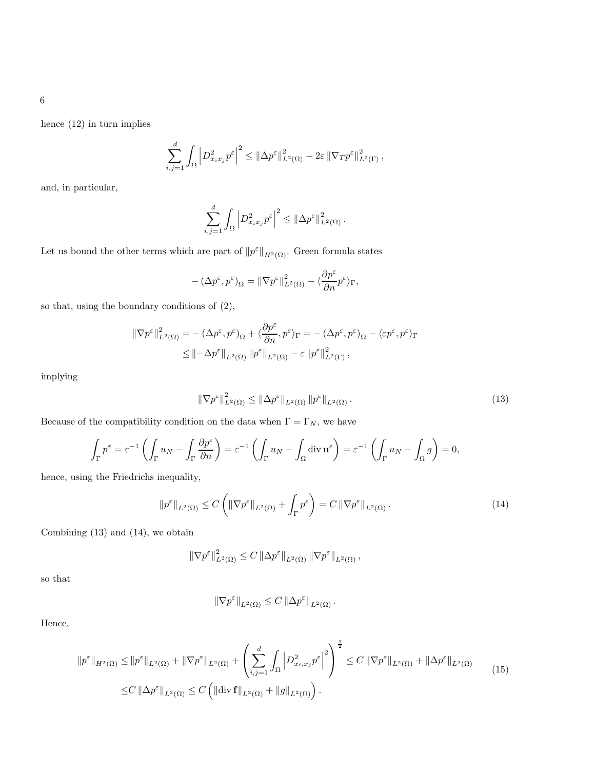hence [\(12\)](#page-4-1) in turn implies

$$
\sum_{i,j=1}^d \int_{\Omega} \left| D^2_{x_ix_j} p^{\varepsilon} \right|^2 \leq \left\| \Delta p^{\varepsilon} \right\|_{L^2(\Omega)}^2 - 2\varepsilon \left\| \nabla_T p^{\varepsilon} \right\|_{L^2(\Gamma)}^2,
$$

and, in particular,

$$
\sum_{i,j=1}^d \int_{\Omega} \left| D^2_{x_i x_j} p^{\varepsilon} \right|^2 \leq \left\| \Delta p^{\varepsilon} \right\|_{L^2(\Omega)}^2.
$$

Let us bound the other terms which are part of  $||p^{\varepsilon}||_{H^{2}(\Omega)}$ . Green formula states

$$
-\left(\Delta p^\varepsilon, p^\varepsilon\right)_\Omega=\|\nabla p^\varepsilon\|_{L^2(\Omega)}^2-\langle \frac{\partial p^\varepsilon}{\partial n} p^\varepsilon\rangle_\Gamma,
$$

so that, using the boundary conditions of [\(2\)](#page-3-0),

$$
\begin{split} \left\|\nabla p^{\varepsilon}\right\|^{2}_{L^{2}(\Omega)}&=-\left(\Delta p^{\varepsilon},p^{\varepsilon}\right)_{\Omega}+\langle\frac{\partial p^{\varepsilon}}{\partial n},p^{\varepsilon}\rangle_{\Gamma}=-\left(\Delta p^{\varepsilon},p^{\varepsilon}\right)_{\Omega}-\langle\varepsilon p^{\varepsilon},p^{\varepsilon}\rangle_{\Gamma} \\ &\leq\left\|-\Delta p^{\varepsilon}\right\|_{L^{2}(\Omega)}\left\|p^{\varepsilon}\right\|_{L^{2}(\Omega)}-\varepsilon\left\|p^{\varepsilon}\right\|^{2}_{L^{2}(\Gamma)}, \end{split}
$$

implying

<span id="page-5-0"></span>
$$
\|\nabla p^{\varepsilon}\|_{L^2(\Omega)}^2 \le \|\Delta p^{\varepsilon}\|_{L^2(\Omega)} \|p^{\varepsilon}\|_{L^2(\Omega)}.
$$
\n(13)

Because of the compatibility condition on the data when  $\Gamma = \Gamma_N,$  we have

$$
\int_{\Gamma} p^{\varepsilon} = \varepsilon^{-1} \left( \int_{\Gamma} u_N - \int_{\Gamma} \frac{\partial p^{\varepsilon}}{\partial n} \right) = \varepsilon^{-1} \left( \int_{\Gamma} u_N - \int_{\Omega} \operatorname{div} \mathbf{u}^{\varepsilon} \right) = \varepsilon^{-1} \left( \int_{\Gamma} u_N - \int_{\Omega} g \right) = 0,
$$

hence, using the Friedrichs inequality,

$$
\|p^{\varepsilon}\|_{L^{2}(\Omega)} \leq C \left( \|\nabla p^{\varepsilon}\|_{L^{2}(\Omega)} + \int_{\Gamma} p^{\varepsilon} \right) = C \left\|\nabla p^{\varepsilon}\right\|_{L^{2}(\Omega)}.
$$
\n(14)

Combining [\(13\)](#page-5-0) and [\(14\)](#page-5-1), we obtain

$$
\left\|\nabla p^{\varepsilon}\right\|_{L^2(\Omega)}^2 \leq C \left\|\Delta p^{\varepsilon}\right\|_{L^2(\Omega)} \left\|\nabla p^{\varepsilon}\right\|_{L^2(\Omega)},
$$

so that

<span id="page-5-1"></span>
$$
\|\nabla p^{\varepsilon}\|_{L^2(\Omega)} \leq C \,\|\Delta p^{\varepsilon}\|_{L^2(\Omega)}\,.
$$

Hence,

$$
\|p^{\varepsilon}\|_{H^{2}(\Omega)} \leq \|p^{\varepsilon}\|_{L^{2}(\Omega)} + \|\nabla p^{\varepsilon}\|_{L^{2}(\Omega)} + \left(\sum_{i,j=1}^{d} \int_{\Omega} \left|D_{x_{i},x_{j}}^{2} p^{\varepsilon}\right|^{2}\right)^{\frac{1}{2}} \leq C \left\|\nabla p^{\varepsilon}\right\|_{L^{2}(\Omega)} + \left\|\Delta p^{\varepsilon}\right\|_{L^{2}(\Omega)} \tag{15}
$$

$$
\leq C \left\|\Delta p^{\varepsilon}\right\|_{L^{2}(\Omega)} \leq C \left(\left\|\text{div}\,\mathbf{f}\right\|_{L^{2}(\Omega)} + \left\|g\right\|_{L^{2}(\Omega)}\right).
$$

6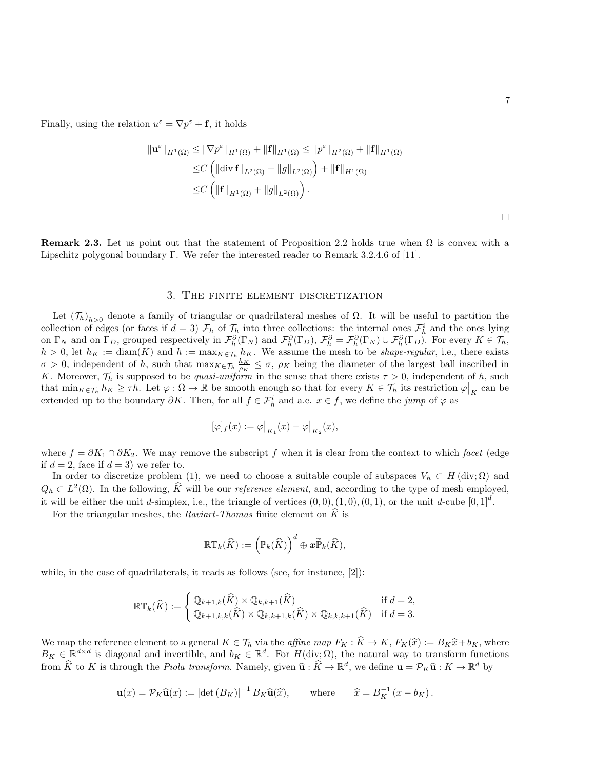Finally, using the relation  $u^{\varepsilon} = \nabla p^{\varepsilon} + \mathbf{f}$ , it holds

$$
\|\mathbf{u}^{\varepsilon}\|_{H^{1}(\Omega)} \leq \|\nabla p^{\varepsilon}\|_{H^{1}(\Omega)} + \|\mathbf{f}\|_{H^{1}(\Omega)} \leq \|p^{\varepsilon}\|_{H^{2}(\Omega)} + \|\mathbf{f}\|_{H^{1}(\Omega)}
$$
  
\n
$$
\leq C \left( \|\text{div } \mathbf{f}\|_{L^{2}(\Omega)} + \|g\|_{L^{2}(\Omega)} \right) + \|\mathbf{f}\|_{H^{1}(\Omega)}
$$
  
\n
$$
\leq C \left( \|\mathbf{f}\|_{H^{1}(\Omega)} + \|g\|_{L^{2}(\Omega)} \right).
$$

<span id="page-6-0"></span>**Remark 2.3.** Let us point out that the statement of Proposition [2.2](#page-4-2) holds true when  $\Omega$  is convex with a Lipschitz polygonal boundary Γ. We refer the interested reader to Remark 3.2.4.6 of [\[11\]](#page-30-10).

#### 3. The finite element discretization

<span id="page-6-1"></span>Let  $(\mathcal{T}_h)_{h>0}$  denote a family of triangular or quadrilateral meshes of  $\Omega$ . It will be useful to partition the collection of edges (or faces if  $d = 3$ )  $\mathcal{F}_h$  of  $\mathcal{T}_h$  into three collections: the internal ones  $\mathcal{F}_h^i$  and the ones lying on  $\Gamma_N$  and on  $\Gamma_D$ , grouped respectively in  $\mathcal{F}_{\hat{n}}^{\hat{\theta}}(\Gamma_N)$  and  $\mathcal{F}_{\hat{n}}^{\hat{\theta}}(\Gamma_D)$ ,  $\mathcal{F}_{\hat{n}}^{\hat{\theta}} = \mathcal{F}_{\hat{n}}^{\hat{\theta}}(\Gamma_N) \cup \mathcal{F}_{\hat{n}}^{\hat{\theta}}(\Gamma_D)$ . For every  $K \in \mathcal{T}_h$ ,  $h > 0$ , let  $h_K := \text{diam}(K)$  and  $h := \max_{K \in \mathcal{T}_h} h_K$ . We assume the mesh to be *shape-regular*, i.e., there exists  $\sigma > 0$ , independent of h, such that  $\max_{K \in \mathcal{T}_h} \frac{h_K}{\rho_K} \leq \sigma$ ,  $\rho_K$  being the diameter of the largest ball inscribed in K. Moreover,  $\mathcal{T}_h$  is supposed to be *quasi-uniform* in the sense that there exists  $\tau > 0$ , independent of h, such that  $\min_{K \in \mathcal{T}_h} h_K \geq \tau h$ . Let  $\varphi : \Omega \to \mathbb{R}$  be smooth enough so that for every  $K \in \mathcal{T}_h$  its restriction  $\varphi|_K$  can be extended up to the boundary  $\partial K$ . Then, for all  $f \in \mathcal{F}_h^i$  and a.e.  $x \in f$ , we define the *jump* of  $\varphi$  as

$$
[\varphi]_f(x):=\varphi\big|_{K_1}(x)-\varphi\big|_{K_2}(x),
$$

where  $f = \partial K_1 \cap \partial K_2$ . We may remove the subscript f when it is clear from the context to which facet (edge if  $d = 2$ , face if  $d = 3$ ) we refer to.

In order to discretize problem [\(1\)](#page-2-0), we need to choose a suitable couple of subspaces  $V_h \subset H(\text{div}; \Omega)$  and  $Q_h \subset L^2(\Omega)$ . In the following,  $\hat{K}$  will be our *reference element*, and, according to the type of mesh employed, it will be either the unit d-simplex, i.e., the triangle of vertices  $(0,0), (1,0), (0,1)$ , or the unit d-cube  $[0,1]^d$ .

For the triangular meshes, the Raviart-Thomas finite element on  $\hat{K}$  is

$$
\mathbb{RT}_k(\widehat{K}) := \left(\mathbb{P}_k(\widehat{K})\right)^d \oplus \boldsymbol{x} \widetilde{\mathbb{P}}_k(\widehat{K}),
$$

while, in the case of quadrilaterals, it reads as follows (see, for instance, [\[2\]](#page-30-11)):

$$
\mathbb{RT}_k(\widehat{K}) := \begin{cases} \mathbb{Q}_{k+1,k}(\widehat{K}) \times \mathbb{Q}_{k,k+1}(\widehat{K}) & \text{if } d = 2, \\ \mathbb{Q}_{k+1,k,k}(\widehat{K}) \times \mathbb{Q}_{k,k+1,k}(\widehat{K}) \times \mathbb{Q}_{k,k,k+1}(\widehat{K}) & \text{if } d = 3. \end{cases}
$$

We map the reference element to a general  $K \in \mathcal{T}_h$  via the *affine map*  $F_K : K \to K$ ,  $F_K(\hat{x}) := B_K\hat{x} + b_K$ , where  $B_K \subset \mathbb{R}^{d \times d}$  is discussed and investigated in the solution of  $K$ .  $B_K \in \mathbb{R}^{d \times d}$  is diagonal and invertible, and  $b_K \in \mathbb{R}^d$ . For  $H(\text{div};\Omega)$ , the natural way to transform functions from  $\hat{K}$  to K is through the *Piola transform*. Namely, given  $\hat{\mathbf{u}} : \hat{K} \to \mathbb{R}^d$ , we define  $\mathbf{u} = \mathcal{P}_K \hat{\mathbf{u}} : K \to \mathbb{R}^d$  by

$$
\mathbf{u}(x) = \mathcal{P}_K \widehat{\mathbf{u}}(x) := \left| \det \left( B_K \right) \right|^{-1} B_K \widehat{\mathbf{u}}(\widehat{x}), \qquad \text{where} \qquad \widehat{x} = B_K^{-1} \left( x - b_K \right).
$$

 $\Box$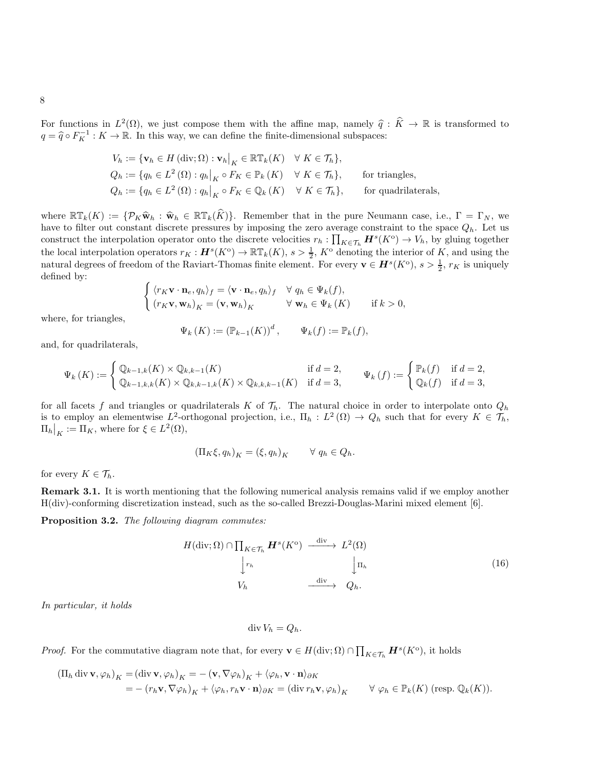For functions in  $L^2(\Omega)$ , we just compose them with the affine map, namely  $\hat{q} : \hat{K} \to \mathbb{R}$  is transformed to  $q = \hat{q} \circ F_K^{-1} : K \to \mathbb{R}$ . In this way, we can define the finite-dimensional subspaces:

$$
V_h := \{ \mathbf{v}_h \in H(\text{div}; \Omega) : \mathbf{v}_h \big|_K \in \mathbb{RT}_k(K) \quad \forall \ K \in \mathcal{T}_h \},
$$
  
\n
$$
Q_h := \{ q_h \in L^2(\Omega) : q_h \big|_K \circ F_K \in \mathbb{P}_k(K) \quad \forall \ K \in \mathcal{T}_h \}, \qquad \text{for triangles,}
$$
  
\n
$$
Q_h := \{ q_h \in L^2(\Omega) : q_h \big|_K \circ F_K \in \mathbb{Q}_k(K) \quad \forall \ K \in \mathcal{T}_h \}, \qquad \text{for quadrilaterals,}
$$

where  $\mathbb{RT}_k(K) := \{ \mathcal{P}_K \widehat{\mathbf{w}}_h : \widehat{\mathbf{w}}_h \in \mathbb{RT}_k(\widehat{K}) \}.$  Remember that in the pure Neumann case, i.e.,  $\Gamma = \Gamma_N$ , we have to filter out constant discrete pressures by imposing the zero average constraint to the space  $Q_h$ . Let us construct the interpolation operator onto the discrete velocities  $r_h: \prod_{K \in \mathcal{T}_h} H^s(K^{\text{o}}) \to V_h$ , by gluing together the local interpolation operators  $r_K: \mathbf{H}^s(K^{\text{o}}) \to \mathbb{RT}_k(K)$ ,  $s > \frac{1}{2}$ ,  $K^{\text{o}}$  denoting the interior of K, and using the natural degrees of freedom of the Raviart-Thomas finite element. For every  $\mathbf{v} \in \mathbf{H}^s(K^{\text{o}}), s > \frac{1}{2}, r_K$  is uniquely defined by:

$$
\begin{cases} \langle r_K \mathbf{v} \cdot \mathbf{n}_e, q_h \rangle_f = \langle \mathbf{v} \cdot \mathbf{n}_e, q_h \rangle_f & \forall q_h \in \Psi_k(f), \\ (r_K \mathbf{v}, \mathbf{w}_h)_K = (\mathbf{v}, \mathbf{w}_h)_K & \forall \mathbf{w}_h \in \Psi_k(K) \quad \text{if } k > 0, \end{cases}
$$

where, for triangles,

$$
\Psi_k(K) := (\mathbb{P}_{k-1}(K))^d, \qquad \Psi_k(f) := \mathbb{P}_k(f),
$$

and, for quadrilaterals,

$$
\Psi_k(K) := \begin{cases} \mathbb{Q}_{k-1,k}(K) \times \mathbb{Q}_{k,k-1}(K) & \text{if } d = 2, \\ \mathbb{Q}_{k-1,k,k}(K) \times \mathbb{Q}_{k,k-1,k}(K) \times \mathbb{Q}_{k,k,k-1}(K) & \text{if } d = 3, \end{cases} \qquad \Psi_k(f) := \begin{cases} \mathbb{P}_k(f) & \text{if } d = 2, \\ \mathbb{Q}_k(f) & \text{if } d = 3, \end{cases}
$$

for all facets f and triangles or quadrilaterals K of  $\mathcal{T}_h$ . The natural choice in order to interpolate onto  $Q_h$ is to employ an elementwise  $L^2$ -orthogonal projection, i.e.,  $\Pi_h : L^2(\Omega) \to Q_h$  such that for every  $K \in \mathcal{T}_h$ ,  $\Pi_h\big|_K := \Pi_K$ , where for  $\xi \in L^2(\Omega)$ ,

$$
(\Pi_K \xi, q_h)_K = (\xi, q_h)_K \qquad \forall \ q_h \in Q_h.
$$

for every  $K \in \mathcal{T}_h$ .

Remark 3.1. It is worth mentioning that the following numerical analysis remains valid if we employ another H(div)-conforming discretization instead, such as the so-called Brezzi-Douglas-Marini mixed element [\[6\]](#page-30-12).

<span id="page-7-0"></span>Proposition 3.2. The following diagram commutes:

$$
H(\text{div}; \Omega) \cap \prod_{K \in \mathcal{T}_h} \mathbf{H}^s(K^{\text{o}}) \xrightarrow{\text{div}} L^2(\Omega)
$$
  

$$
\downarrow r_h \qquad \qquad \downarrow \text{u}_h
$$
  

$$
V_h \xrightarrow{\text{div}} Q_h.
$$
 (16)

In particular, it holds

$$
\operatorname{div} V_h = Q_h.
$$

*Proof.* For the commutative diagram note that, for every  $\mathbf{v} \in H(\text{div}; \Omega) \cap \prod_{K \in \mathcal{T}_h} H^s(K^{\text{o}})$ , it holds

$$
\begin{split} (\Pi_h \operatorname{div} \mathbf{v}, \varphi_h)_K &= (\operatorname{div} \mathbf{v}, \varphi_h)_K = -\left(\mathbf{v}, \nabla \varphi_h\right)_K + \langle \varphi_h, \mathbf{v} \cdot \mathbf{n} \rangle_{\partial K} \\ &= -\left(r_h \mathbf{v}, \nabla \varphi_h\right)_K + \langle \varphi_h, r_h \mathbf{v} \cdot \mathbf{n} \rangle_{\partial K} = (\operatorname{div} r_h \mathbf{v}, \varphi_h)_K \qquad \forall \; \varphi_h \in \mathbb{P}_k(K) \; (\text{resp. } \mathbb{Q}_k(K)). \end{split}
$$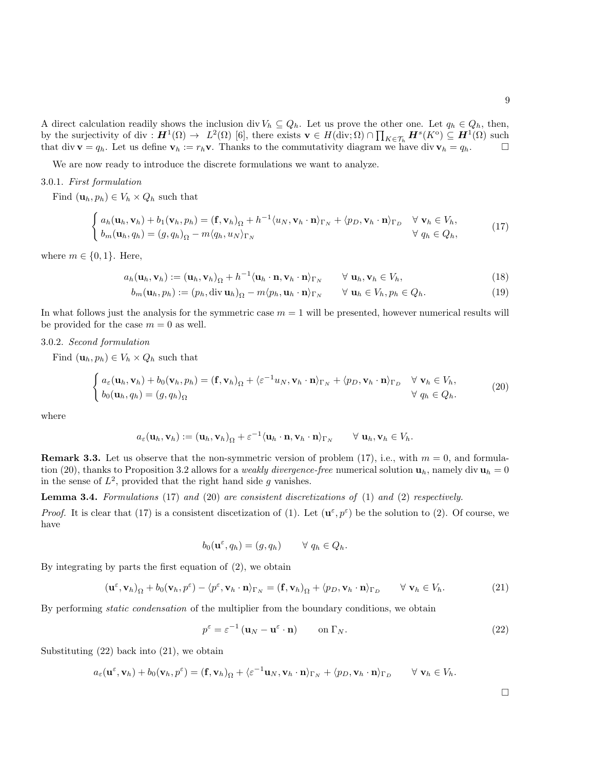<span id="page-8-3"></span><span id="page-8-2"></span><span id="page-8-1"></span> $\Box$ 

A direct calculation readily shows the inclusion div  $V_h \subseteq Q_h$ . Let us prove the other one. Let  $q_h \in Q_h$ , then, by the surjectivity of div :  $\mathbf{H}^1(\Omega) \to L^2(\Omega)$  [\[6\]](#page-30-12), there exists  $\mathbf{v} \in H(\text{div}; \Omega) \cap \prod_{K \in \mathcal{T}_h} \mathbf{H}^s(K^{\text{o}}) \subseteq \mathbf{H}^1(\Omega)$  such that div  $\mathbf{v} = q_h$ . Let us define  $\mathbf{v}_h := r_h \mathbf{v}$ . Thanks to the commutativity diagram we have div  $\mathbf{v}_h = q_h$ .

We are now ready to introduce the discrete formulations we want to analyze.

#### 3.0.1. First formulation

Find  $(\mathbf{u}_h, p_h) \in V_h \times Q_h$  such that

$$
\begin{cases} a_h(\mathbf{u}_h, \mathbf{v}_h) + b_1(\mathbf{v}_h, p_h) = (\mathbf{f}, \mathbf{v}_h)_{\Omega} + h^{-1} \langle u_N, \mathbf{v}_h \cdot \mathbf{n} \rangle_{\Gamma_N} + \langle p_D, \mathbf{v}_h \cdot \mathbf{n} \rangle_{\Gamma_D} & \forall \mathbf{v}_h \in V_h, \\ b_m(\mathbf{u}_h, q_h) = (g, q_h)_{\Omega} - m \langle q_h, u_N \rangle_{\Gamma_N} & \forall q_h \in Q_h, \\ \end{cases}
$$
(17)

where  $m \in \{0, 1\}$ . Here,

$$
a_h(\mathbf{u}_h, \mathbf{v}_h) := (\mathbf{u}_h, \mathbf{v}_h)_{\Omega} + h^{-1} \langle \mathbf{u}_h \cdot \mathbf{n}, \mathbf{v}_h \cdot \mathbf{n} \rangle_{\Gamma_N} \qquad \forall \mathbf{u}_h, \mathbf{v}_h \in V_h,
$$
\n(18)

<span id="page-8-0"></span>
$$
b_m(\mathbf{u}_h, p_h) := (p_h, \operatorname{div} \mathbf{u}_h)_{\Omega} - m \langle p_h, \mathbf{u}_h \cdot \mathbf{n} \rangle_{\Gamma_N} \qquad \forall \mathbf{u}_h \in V_h, p_h \in Q_h.
$$
 (19)

In what follows just the analysis for the symmetric case  $m = 1$  will be presented, however numerical results will be provided for the case  $m = 0$  as well.

### 3.0.2. Second formulation

Find  $(\mathbf{u}_h, p_h) \in V_h \times Q_h$  such that

$$
\begin{cases} a_{\varepsilon}(\mathbf{u}_h, \mathbf{v}_h) + b_0(\mathbf{v}_h, p_h) = (\mathbf{f}, \mathbf{v}_h)_{\Omega} + \langle \varepsilon^{-1} u_N, \mathbf{v}_h \cdot \mathbf{n} \rangle_{\Gamma_N} + \langle p_D, \mathbf{v}_h \cdot \mathbf{n} \rangle_{\Gamma_D} & \forall \mathbf{v}_h \in V_h, \\ b_0(\mathbf{u}_h, q_h) = (g, q_h)_{\Omega} & \forall q_h \in Q_h. \end{cases}
$$
(20)

where

$$
a_{\varepsilon}(\mathbf{u}_h, \mathbf{v}_h) := (\mathbf{u}_h, \mathbf{v}_h)_{\Omega} + \varepsilon^{-1} \langle \mathbf{u}_h \cdot \mathbf{n}, \mathbf{v}_h \cdot \mathbf{n} \rangle_{\Gamma_N} \qquad \forall \mathbf{u}_h, \mathbf{v}_h \in V_h.
$$

**Remark 3.3.** Let us observe that the non-symmetric version of problem [\(17\)](#page-8-0), i.e., with  $m = 0$ , and formula-tion [\(20\)](#page-8-1), thanks to Proposition [3.2](#page-7-0) allows for a *weakly divergence-free* numerical solution  $\mathbf{u}_h$ , namely div  $\mathbf{u}_h = 0$ in the sense of  $L^2$ , provided that the right hand side g vanishes.

Lemma 3.4. Formulations [\(17\)](#page-8-0) and [\(20\)](#page-8-1) are consistent discretizations of [\(1\)](#page-2-0) and [\(2\)](#page-3-0) respectively.

*Proof.* It is clear that [\(17\)](#page-8-0) is a consistent discetization of [\(1\)](#page-2-0). Let  $(\mathbf{u}^{\varepsilon}, p^{\varepsilon})$  be the solution to [\(2\)](#page-3-0). Of course, we have

$$
b_0(\mathbf{u}^\varepsilon, q_h) = (g, q_h) \qquad \forall \ q_h \in Q_h.
$$

By integrating by parts the first equation of [\(2\)](#page-3-0), we obtain

$$
(\mathbf{u}^{\varepsilon}, \mathbf{v}_h)_{\Omega} + b_0(\mathbf{v}_h, p^{\varepsilon}) - \langle p^{\varepsilon}, \mathbf{v}_h \cdot \mathbf{n} \rangle_{\Gamma_N} = (\mathbf{f}, \mathbf{v}_h)_{\Omega} + \langle p_D, \mathbf{v}_h \cdot \mathbf{n} \rangle_{\Gamma_D} \qquad \forall \mathbf{v}_h \in V_h.
$$
 (21)

By performing static condensation of the multiplier from the boundary conditions, we obtain

$$
p^{\varepsilon} = \varepsilon^{-1} (\mathbf{u}_N - \mathbf{u}^{\varepsilon} \cdot \mathbf{n}) \qquad \text{on } \Gamma_N. \tag{22}
$$

Substituting [\(22\)](#page-8-2) back into [\(21\)](#page-8-3), we obtain

$$
a_{\varepsilon}(\mathbf{u}^{\varepsilon}, \mathbf{v}_h) + b_0(\mathbf{v}_h, p^{\varepsilon}) = (\mathbf{f}, \mathbf{v}_h)_{\Omega} + \langle \varepsilon^{-1} \mathbf{u}_N, \mathbf{v}_h \cdot \mathbf{n} \rangle_{\Gamma_N} + \langle p_D, \mathbf{v}_h \cdot \mathbf{n} \rangle_{\Gamma_D} \qquad \forall \mathbf{v}_h \in V_h.
$$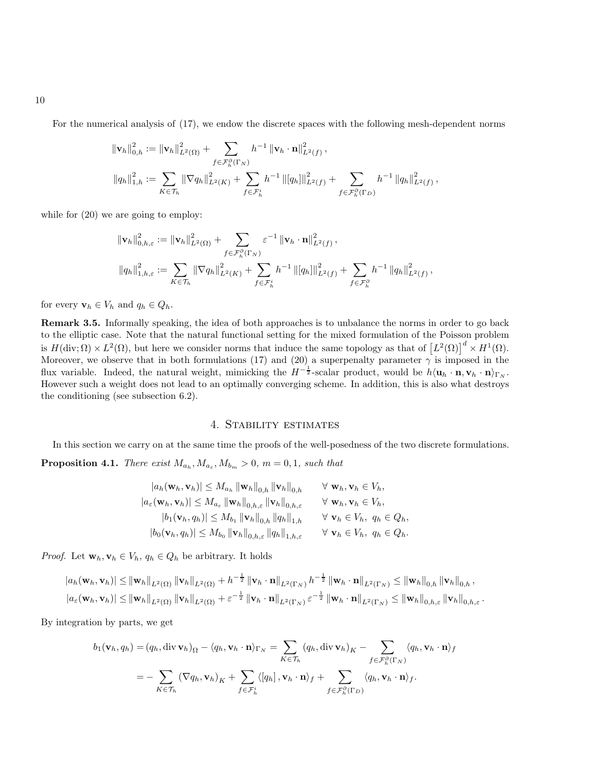For the numerical analysis of [\(17\)](#page-8-0), we endow the discrete spaces with the following mesh-dependent norms

$$
\begin{aligned} &\left\|\mathbf{v}_{h}\right\|_{0,h}^{2}:=\left\|\mathbf{v}_{h}\right\|_{L^{2}(\Omega)}^{2}+\sum_{f \in \mathcal{F}_{h}^{\partial}(\Gamma_{N})}h^{-1}\left\|\mathbf{v}_{h} \cdot \mathbf{n}\right\|_{L^{2}(f)}^{2}, \\ &\left\|q_{h}\right\|_{1,h}^{2}:=\sum_{K \in \mathcal{T}_{h}}\|\nabla q_{h}\|_{L^{2}(K)}^{2}+\sum_{f \in \mathcal{F}_{h}^{i}}h^{-1}\left\|[q_{h}]\right\|_{L^{2}(f)}^{2}+\sum_{f \in \mathcal{F}_{h}^{\partial}(\Gamma_{D})}h^{-1}\left\|q_{h}\right\|_{L^{2}(f)}^{2}, \end{aligned}
$$

while for  $(20)$  we are going to employ:

$$
\begin{aligned} &\left\|\mathbf{v}_{h}\right\|^{2}_{0,h,\varepsilon}:=\left\|\mathbf{v}_{h}\right\|^{2}_{L^{2}(\Omega)}+\sum_{f\in\mathcal{F}_{h}^{\partial}(\Gamma_{N})}\varepsilon^{-1}\left\|\mathbf{v}_{h}\cdot\mathbf{n}\right\|^{2}_{L^{2}(f)},\\ &\left\|q_{h}\right\|^{2}_{1,h,\varepsilon}:=\sum_{K\in\mathcal{T}_{h}}\left\|\nabla q_{h}\right\|^{2}_{L^{2}(K)}+\sum_{f\in\mathcal{F}_{h}^{i}}h^{-1}\left\|[q_{h}]\right\|^{2}_{L^{2}(f)}+\sum_{f\in\mathcal{F}_{h}^{\partial}}h^{-1}\left\|q_{h}\right\|^{2}_{L^{2}(f)}, \end{aligned}
$$

for every  $\mathbf{v}_h \in V_h$  and  $q_h \in Q_h$ .

Remark 3.5. Informally speaking, the idea of both approaches is to unbalance the norms in order to go back to the elliptic case. Note that the natural functional setting for the mixed formulation of the Poisson problem is  $H(\text{div}; \Omega) \times L^2(\Omega)$ , but here we consider norms that induce the same topology as that of  $\left[L^2(\Omega)\right]^d \times H^1(\Omega)$ . Moreover, we observe that in both formulations [\(17\)](#page-8-0) and [\(20\)](#page-8-1) a superpenalty parameter  $\gamma$  is imposed in the flux variable. Indeed, the natural weight, mimicking the  $H^{-\frac{1}{2}}$ -scalar product, would be  $h\langle \mathbf{u}_h \cdot \mathbf{n}, \mathbf{v}_h \cdot \mathbf{n} \rangle_{\Gamma_N}$ . However such a weight does not lead to an optimally converging scheme. In addition, this is also what destroys the conditioning (see subsection [6.2\)](#page-23-0).

### 4. Stability estimates

In this section we carry on at the same time the proofs of the well-posedness of the two discrete formulations.

**Proposition 4.1.** There exist  $M_{a_h}, M_{a_{\varepsilon}}, M_{b_m} > 0$ ,  $m = 0, 1$ , such that

$$
|a_h(\mathbf{w}_h, \mathbf{v}_h)| \leq M_{a_h} \|\mathbf{w}_h\|_{0,h} \|\mathbf{v}_h\|_{0,h} \qquad \forall \mathbf{w}_h, \mathbf{v}_h \in V_h,
$$
  
\n
$$
|a_\varepsilon(\mathbf{w}_h, \mathbf{v}_h)| \leq M_{a_\varepsilon} \|\mathbf{w}_h\|_{0,h,\varepsilon} \|\mathbf{v}_h\|_{0,h,\varepsilon} \qquad \forall \mathbf{w}_h, \mathbf{v}_h \in V_h,
$$
  
\n
$$
|b_1(\mathbf{v}_h, q_h)| \leq M_{b_1} \|\mathbf{v}_h\|_{0,h} \|q_h\|_{1,h} \qquad \forall \mathbf{v}_h \in V_h, q_h \in Q_h,
$$
  
\n
$$
|b_0(\mathbf{v}_h, q_h)| \leq M_{b_0} \|\mathbf{v}_h\|_{0,h,\varepsilon} \|q_h\|_{1,h,\varepsilon} \qquad \forall \mathbf{v}_h \in V_h, q_h \in Q_h.
$$

*Proof.* Let  $\mathbf{w}_h, \mathbf{v}_h \in V_h$ ,  $q_h \in Q_h$  be arbitrary. It holds

$$
|a_h(\mathbf{w}_h, \mathbf{v}_h)| \leq ||\mathbf{w}_h||_{L^2(\Omega)} ||\mathbf{v}_h||_{L^2(\Omega)} + h^{-\frac{1}{2}} ||\mathbf{v}_h \cdot \mathbf{n}||_{L^2(\Gamma_N)} h^{-\frac{1}{2}} ||\mathbf{w}_h \cdot \mathbf{n}||_{L^2(\Gamma_N)} \leq ||\mathbf{w}_h||_{0,h} ||\mathbf{v}_h||_{0,h},
$$
  

$$
|a_\varepsilon(\mathbf{w}_h, \mathbf{v}_h)| \leq ||\mathbf{w}_h||_{L^2(\Omega)} ||\mathbf{v}_h||_{L^2(\Omega)} + \varepsilon^{-\frac{1}{2}} ||\mathbf{v}_h \cdot \mathbf{n}||_{L^2(\Gamma_N)} \varepsilon^{-\frac{1}{2}} ||\mathbf{w}_h \cdot \mathbf{n}||_{L^2(\Gamma_N)} \leq ||\mathbf{w}_h||_{0,h,\varepsilon} ||\mathbf{v}_h||_{0,h,\varepsilon}.
$$

By integration by parts, we get

$$
b_1(\mathbf{v}_h, q_h) = (q_h, \text{div}\,\mathbf{v}_h)_{\Omega} - \langle q_h, \mathbf{v}_h \cdot \mathbf{n} \rangle_{\Gamma_N} = \sum_{K \in \mathcal{T}_h} (q_h, \text{div}\,\mathbf{v}_h)_{K} - \sum_{f \in \mathcal{F}_h^{\partial}(\Gamma_N)} \langle q_h, \mathbf{v}_h \cdot \mathbf{n} \rangle_{f}
$$
  
= 
$$
- \sum_{K \in \mathcal{T}_h} (\nabla q_h, \mathbf{v}_h)_{K} + \sum_{f \in \mathcal{F}_h^i} \langle [q_h], \mathbf{v}_h \cdot \mathbf{n} \rangle_{f} + \sum_{f \in \mathcal{F}_h^{\partial}(\Gamma_D)} \langle q_h, \mathbf{v}_h \cdot \mathbf{n} \rangle_{f}.
$$

10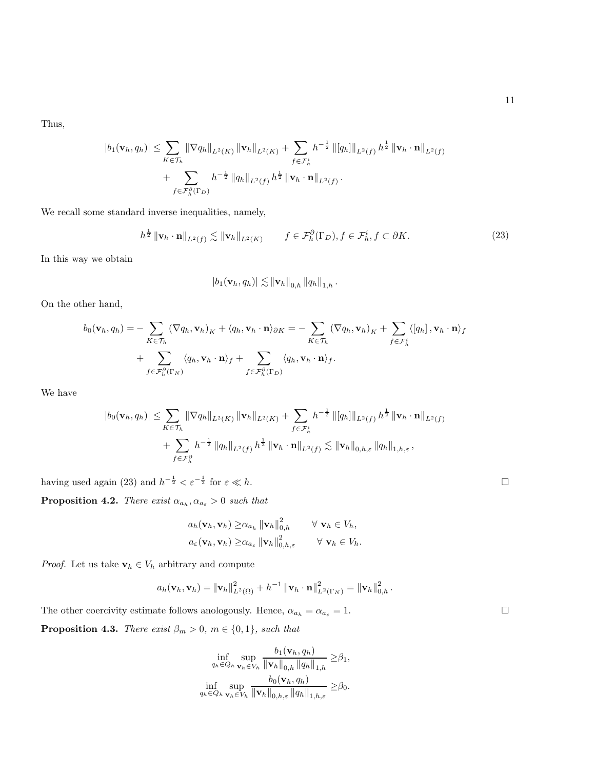Thus,

$$
|b_1(\mathbf{v}_h, q_h)| \leq \sum_{K \in \mathcal{T}_h} \|\nabla q_h\|_{L^2(K)} \|\mathbf{v}_h\|_{L^2(K)} + \sum_{f \in \mathcal{F}_h^i} h^{-\frac{1}{2}} \| [q_h] \|_{L^2(f)} h^{\frac{1}{2}} \|\mathbf{v}_h \cdot \mathbf{n}\|_{L^2(f)} + \sum_{f \in \mathcal{F}_h^{\partial}(\Gamma_D)} h^{-\frac{1}{2}} \|q_h\|_{L^2(f)} h^{\frac{1}{2}} \|\mathbf{v}_h \cdot \mathbf{n}\|_{L^2(f)}.
$$

We recall some standard inverse inequalities, namely,

<span id="page-10-0"></span>
$$
h^{\frac{1}{2}} \|\mathbf{v}_h \cdot \mathbf{n}\|_{L^2(f)} \lesssim \|\mathbf{v}_h\|_{L^2(K)} \qquad f \in \mathcal{F}_h^{\partial}(\Gamma_D), f \in \mathcal{F}_h^i, f \subset \partial K. \tag{23}
$$

.

In this way we obtain

$$
|b_1(\mathbf{v}_h,q_h)| \lesssim \|\mathbf{v}_h\|_{0,h} \|q_h\|_{1,h}
$$

On the other hand,

$$
b_0(\mathbf{v}_h, q_h) = -\sum_{K \in \mathcal{T}_h} (\nabla q_h, \mathbf{v}_h)_K + \langle q_h, \mathbf{v}_h \cdot \mathbf{n} \rangle_{\partial K} = -\sum_{K \in \mathcal{T}_h} (\nabla q_h, \mathbf{v}_h)_K + \sum_{f \in \mathcal{F}_h^i} \langle [q_h], \mathbf{v}_h \cdot \mathbf{n} \rangle_f
$$
  
+ 
$$
\sum_{f \in \mathcal{F}_h^{\partial}(\Gamma_N)} \langle q_h, \mathbf{v}_h \cdot \mathbf{n} \rangle_f + \sum_{f \in \mathcal{F}_h^{\partial}(\Gamma_D)} \langle q_h, \mathbf{v}_h \cdot \mathbf{n} \rangle_f.
$$

We have

$$
|b_0(\mathbf{v}_h, q_h)| \leq \sum_{K \in \mathcal{T}_h} \|\nabla q_h\|_{L^2(K)} \|\mathbf{v}_h\|_{L^2(K)} + \sum_{f \in \mathcal{F}_h^i} h^{-\frac{1}{2}} \|[q_h]\|_{L^2(f)} h^{\frac{1}{2}} \|\mathbf{v}_h \cdot \mathbf{n}\|_{L^2(f)} + \sum_{f \in \mathcal{F}_h^{\partial}} h^{-\frac{1}{2}} \|[q_h]\|_{L^2(f)} h^{\frac{1}{2}} \|\mathbf{v}_h \cdot \mathbf{n}\|_{L^2(f)} \lesssim \|\mathbf{v}_h\|_{0, h, \varepsilon} \|q_h\|_{1, h, \varepsilon},
$$

having used again [\(23\)](#page-10-0) and  $h^{-\frac{1}{2}} < \varepsilon^{-\frac{1}{2}}$  for  $\varepsilon \ll h$ .

**Proposition 4.2.** There exist  $\alpha_{a_h}, \alpha_{a_{\varepsilon}} > 0$  such that

$$
a_h(\mathbf{v}_h, \mathbf{v}_h) \geq \alpha_{a_h} \|\mathbf{v}_h\|_{0,h}^2 \qquad \forall \mathbf{v}_h \in V_h,
$$
  

$$
a_{\varepsilon}(\mathbf{v}_h, \mathbf{v}_h) \geq \alpha_{a_{\varepsilon}} \|\mathbf{v}_h\|_{0,h,\varepsilon}^2 \qquad \forall \mathbf{v}_h \in V_h.
$$

*Proof.* Let us take  $\mathbf{v}_h \in V_h$  arbitrary and compute

$$
a_h(\mathbf{v}_h, \mathbf{v}_h) = \|\mathbf{v}_h\|_{L^2(\Omega)}^2 + h^{-1} \left\|\mathbf{v}_h \cdot \mathbf{n}\right\|_{L^2(\Gamma_N)}^2 = \left\|\mathbf{v}_h\right\|_{0,h}^2.
$$

The other coercivity estimate follows anologously. Hence,  $\alpha_{a_h} = \alpha_{a_{\varepsilon}} = 1$ . **Proposition 4.3.** There exist  $\beta_m > 0$ ,  $m \in \{0, 1\}$ , such that

$$
\inf_{q_h \in Q_h} \sup_{\mathbf{v}_h \in V_h} \frac{b_1(\mathbf{v}_h, q_h)}{\|\mathbf{v}_h\|_{0,h} \|\mathbf{q}_h\|_{1,h}} \geq \beta_1,
$$
\n
$$
\inf_{q_h \in Q_h} \sup_{\mathbf{v}_h \in V_h} \frac{b_0(\mathbf{v}_h, q_h)}{\|\mathbf{v}_h\|_{0,h,\varepsilon} \|q_h\|_{1,h,\varepsilon}} \geq \beta_0.
$$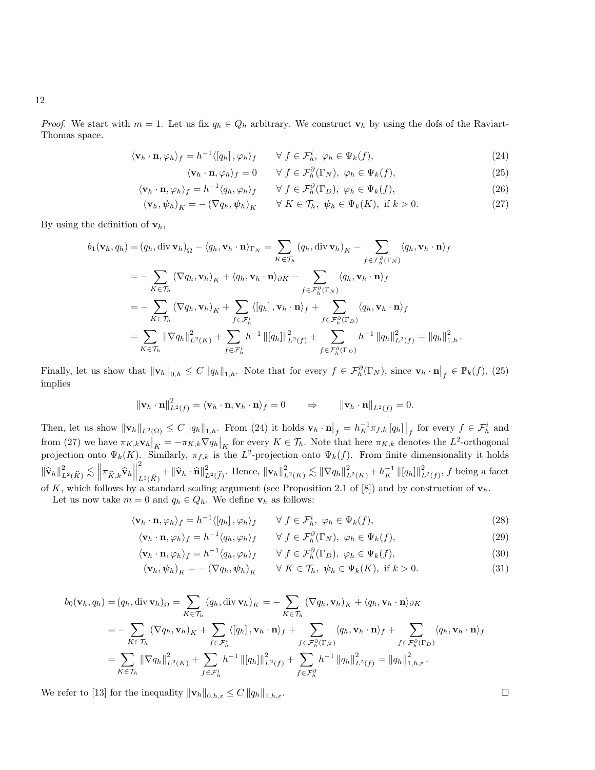*Proof.* We start with  $m = 1$ . Let us fix  $q_h \in Q_h$  arbitrary. We construct  $\mathbf{v}_h$  by using the dofs of the Raviart-Thomas space.

$$
\langle \mathbf{v}_h \cdot \mathbf{n}, \varphi_h \rangle_f = h^{-1} \langle [q_h], \varphi_h \rangle_f \qquad \forall \ f \in \mathcal{F}_h^i, \ \varphi_h \in \Psi_k(f), \tag{24}
$$

<span id="page-11-1"></span><span id="page-11-0"></span>
$$
\langle \mathbf{v}_h \cdot \mathbf{n}, \varphi_h \rangle_f = 0 \qquad \forall \ f \in \mathcal{F}_h^{\partial}(\Gamma_N), \ \varphi_h \in \Psi_k(f), \tag{25}
$$

$$
\langle \mathbf{v}_h \cdot \mathbf{n}, \varphi_h \rangle_f = h^{-1} \langle q_h, \varphi_h \rangle_f \qquad \forall \ f \in \mathcal{F}_h^{\partial}(\Gamma_D), \ \varphi_h \in \Psi_k(f), \tag{26}
$$

<span id="page-11-2"></span>
$$
(\mathbf{v}_h, \boldsymbol{\psi}_h)_K = -(\nabla q_h, \boldsymbol{\psi}_h)_K \qquad \forall \ K \in \mathcal{T}_h, \ \boldsymbol{\psi}_h \in \Psi_k(K), \text{ if } k > 0. \tag{27}
$$

By using the definition of  $\mathbf{v}_h$ ,

$$
b_1(\mathbf{v}_h, q_h) = (q_h, \text{div}\,\mathbf{v}_h)_{\Omega} - \langle q_h, \mathbf{v}_h \cdot \mathbf{n} \rangle_{\Gamma_N} = \sum_{K \in \mathcal{T}_h} (q_h, \text{div}\,\mathbf{v}_h)_{K} - \sum_{f \in \mathcal{F}_h^{\partial}(\Gamma_N)} \langle q_h, \mathbf{v}_h \cdot \mathbf{n} \rangle_{f}
$$
  
\n
$$
= - \sum_{K \in \mathcal{T}_h} (\nabla q_h, \mathbf{v}_h)_{K} + \langle q_h, \mathbf{v}_h \cdot \mathbf{n} \rangle_{\partial K} - \sum_{f \in \mathcal{F}_h^{\partial}(\Gamma_N)} \langle q_h, \mathbf{v}_h \cdot \mathbf{n} \rangle_{f}
$$
  
\n
$$
= - \sum_{K \in \mathcal{T}_h} (\nabla q_h, \mathbf{v}_h)_{K} + \sum_{f \in \mathcal{F}_h^i} \langle [q_h], \mathbf{v}_h \cdot \mathbf{n} \rangle_{f} + \sum_{f \in \mathcal{F}_h^{\partial}(\Gamma_D)} \langle q_h, \mathbf{v}_h \cdot \mathbf{n} \rangle_{f}
$$
  
\n
$$
= \sum_{K \in \mathcal{T}_h} ||\nabla q_h||_{L^2(K)}^2 + \sum_{f \in \mathcal{F}_h^i} h^{-1} ||[q_h]||_{L^2(f)}^2 + \sum_{f \in \mathcal{F}_h^{\partial}(\Gamma_D)} h^{-1} ||q_h||_{L^2(f)}^2 = ||q_h||_{1,h}^2.
$$

Finally, let us show that  $\|\mathbf{v}_h\|_{0,h} \leq C \|q_h\|_{1,h}$ . Note that for every  $f \in \mathcal{F}_h^{\partial}(\Gamma_N)$ , since  $\mathbf{v}_h \cdot \mathbf{n}|_f \in \mathbb{P}_k(f)$ , [\(25\)](#page-11-0) implies

$$
\|\mathbf{v}_h \cdot \mathbf{n}\|_{L^2(f)}^2 = \langle \mathbf{v}_h \cdot \mathbf{n}, \mathbf{v}_h \cdot \mathbf{n}\rangle_f = 0 \qquad \Rightarrow \qquad \|\mathbf{v}_h \cdot \mathbf{n}\|_{L^2(f)} = 0.
$$

Then, let us show  $\|\mathbf{v}_h\|_{L^2(\Omega)} \leq C \|q_h\|_{1,h}$ . From [\(24\)](#page-11-1) it holds  $\mathbf{v}_h \cdot \mathbf{n}\Big|_f = h_K^{-1} \pi_{f,k} [q_h]\Big|_f$  for every  $f \in \mathcal{F}_h^i$  and from [\(27\)](#page-11-2) we have  $\pi_{K,k} \mathbf{v}_h|_K = -\pi_{K,k} \nabla q_h|_K$  for every  $K \in \mathcal{T}_h$ . Note that here  $\pi_{K,k}$  denotes the  $L^2$ -orthogonal projection onto  $\Psi_k(K)$ . Similarly,  $\pi_{f,k}$  is the  $L^2$ -projection onto  $\Psi_k(f)$ . From finite dimensionality it holds  $\left\Vert \widehat{\mathbf{v}}_h \right\Vert_{L^2(\widehat{K})}^2 \lesssim \left\Vert \pi_{\widehat{K},k} \widehat{\mathbf{v}}_h \right\Vert$ 2  $\frac{1}{L^2(\widehat{K})} + \|\widehat{\mathbf{v}}_h \cdot \widehat{\mathbf{n}}\|^2_{L^2(\widehat{f})}.$  Hence,  $\|\mathbf{v}_h\|^2_{L^2(K)} \lesssim \|\nabla q_h\|^2_{L^2(K)} + h_K^{-1} \| [q_h] \|_{L^2(f)}^2,$  f being a facet of K, which follows by a standard scaling argument (see Proposition 2.1 of [8]) and by construction of  $\mathbf{v}_h$ .

Let us now take  $m = 0$  and  $q_h \in Q_h$ . We define  $\mathbf{v}_h$  as follows:

$$
\langle \mathbf{v}_h \cdot \mathbf{n}, \varphi_h \rangle_f = h^{-1} \langle [q_h], \varphi_h \rangle_f \qquad \forall \ f \in \mathcal{F}_h^i, \ \varphi_h \in \Psi_k(f), \tag{28}
$$

$$
\langle \mathbf{v}_h \cdot \mathbf{n}, \varphi_h \rangle_f = h^{-1} \langle q_h, \varphi_h \rangle_f \qquad \forall \ f \in \mathcal{F}_h^{\partial}(\Gamma_N), \ \varphi_h \in \Psi_k(f), \tag{29}
$$

$$
\langle \mathbf{v}_h \cdot \mathbf{n}, \varphi_h \rangle_f = h^{-1} \langle q_h, \varphi_h \rangle_f \qquad \forall \ f \in \mathcal{F}_h^{\partial}(\Gamma_D), \ \varphi_h \in \Psi_k(f), \tag{30}
$$

$$
(\mathbf{v}_h, \boldsymbol{\psi}_h)_K = -(\nabla q_h, \boldsymbol{\psi}_h)_K \qquad \forall \ K \in \mathcal{T}_h, \ \boldsymbol{\psi}_h \in \Psi_k(K), \text{ if } k > 0. \tag{31}
$$

$$
b_0(\mathbf{v}_h, q_h) = (q_h, \text{div}\,\mathbf{v}_h)_{\Omega} = \sum_{K \in \mathcal{T}_h} (q_h, \text{div}\,\mathbf{v}_h)_{K} = -\sum_{K \in \mathcal{T}_h} (\nabla q_h, \mathbf{v}_h)_{K} + \langle q_h, \mathbf{v}_h \cdot \mathbf{n} \rangle_{\partial K}
$$
  
\n
$$
= -\sum_{K \in \mathcal{T}_h} (\nabla q_h, \mathbf{v}_h)_{K} + \sum_{f \in \mathcal{F}_h^{\perp}} \langle [q_h], \mathbf{v}_h \cdot \mathbf{n} \rangle_f + \sum_{f \in \mathcal{F}_h^{\partial}(\Gamma_N)} \langle q_h, \mathbf{v}_h \cdot \mathbf{n} \rangle_f + \sum_{f \in \mathcal{F}_h^{\partial}(\Gamma_D)} \langle q_h, \mathbf{v}_h \cdot \mathbf{n} \rangle_f
$$
  
\n
$$
= \sum_{K \in \mathcal{T}_h} ||\nabla q_h||_{L^2(K)}^2 + \sum_{f \in \mathcal{F}_h^{\perp}} h^{-1} ||[q_h]||_{L^2(f)}^2 + \sum_{f \in \mathcal{F}_h^{\partial}} h^{-1} ||q_h||_{L^2(f)}^2 = ||q_h||_{1,h,\varepsilon}^2.
$$

We refer to [\[13\]](#page-30-6) for the inequality  $\|\mathbf{v}_h\|_{0,h,\varepsilon} \leq C \|q_h\|_{1,h,\varepsilon}$ .

.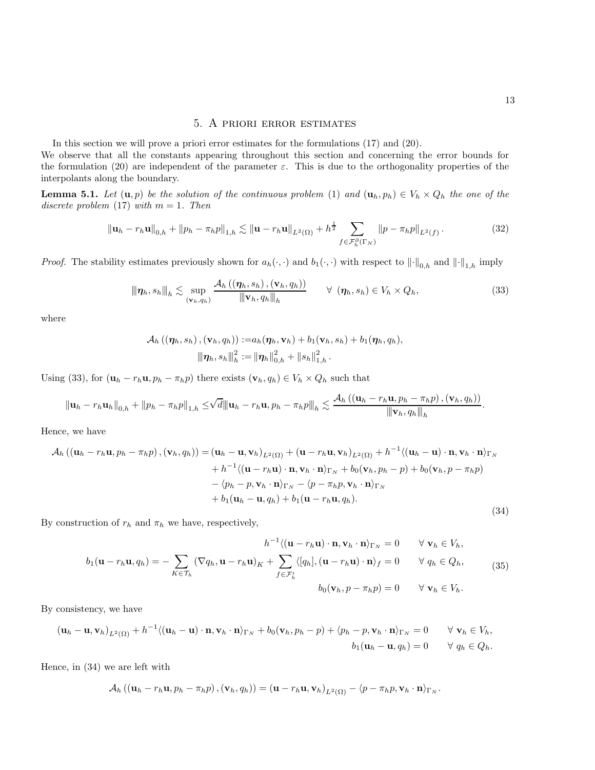In this section we will prove a priori error estimates for the formulations [\(17\)](#page-8-0) and [\(20\)](#page-8-1). We observe that all the constants appearing throughout this section and concerning the error bounds for the formulation [\(20\)](#page-8-1) are independent of the parameter  $\varepsilon$ . This is due to the orthogonality properties of the interpolants along the boundary.

<span id="page-12-2"></span>**Lemma 5.1.** Let  $(\mathbf{u}, p)$  be the solution of the continuous problem [\(1\)](#page-2-0) and  $(\mathbf{u}_h, p_h) \in V_h \times Q_h$  the one of the discrete problem [\(17\)](#page-8-0) with  $m = 1$ . Then

$$
\|\mathbf{u}_{h} - r_{h}\mathbf{u}\|_{0,h} + \|p_{h} - \pi_{h}p\|_{1,h} \lesssim \|\mathbf{u} - r_{h}\mathbf{u}\|_{L^{2}(\Omega)} + h^{\frac{1}{2}} \sum_{f \in \mathcal{F}_{h}^{\partial}(\Gamma_{N})} \|p - \pi_{h}p\|_{L^{2}(f)}.
$$
 (32)

*Proof.* The stability estimates previously shown for  $a_h(\cdot, \cdot)$  and  $b_1(\cdot, \cdot)$  with respect to  $\|\cdot\|_{0,h}$  and  $\|\cdot\|_{1,h}$  imply

<span id="page-12-0"></span>
$$
\|\eta_h, s_h\|_h \lesssim \sup_{(\mathbf{v}_h, q_h)} \frac{\mathcal{A}_h\left((\eta_h, s_h), (\mathbf{v}_h, q_h)\right)}{\|\mathbf{v}_h, q_h\|_h} \qquad \forall \ (\eta_h, s_h) \in V_h \times Q_h,
$$
\n(33)

where

$$
\mathcal{A}_h\left(\left(\boldsymbol{\eta}_h, s_h\right),\left(\mathbf{v}_h, q_h\right)\right):=a_h(\boldsymbol{\eta}_h, \mathbf{v}_h)+b_1(\mathbf{v}_h, s_h)+b_1(\boldsymbol{\eta}_h, q_h),\\ \left\|\left\|\boldsymbol{\eta}_h, s_h\right\|_h^2:=\left\|\boldsymbol{\eta}_h\right\|_{0,h}^2+\left\|s_h\right\|_{1,h}^2.
$$

Using [\(33\)](#page-12-0), for  $(\mathbf{u}_h - r_h \mathbf{u}, p_h - \pi_h p)$  there exists  $(\mathbf{v}_h, q_h) \in V_h \times Q_h$  such that

$$
\left\|\mathbf{u}_{h}-r_{h}\mathbf{u}_{h}\right\|_{0,h}+\left\|p_{h}-\pi_{h}p\right\|_{1,h}\leq\sqrt{d}\|\mathbf{u}_{h}-r_{h}\mathbf{u},p_{h}-\pi_{h}p\|_{h}\lesssim\frac{\mathcal{A}_{h}\left(\left(\mathbf{u}_{h}-r_{h}\mathbf{u},p_{h}-\pi_{h}p\right),\left(\mathbf{v}_{h},q_{h}\right)\right)}{\|\mathbf{v}_{h},q_{h}\|_{h}}.
$$

Hence, we have

<span id="page-12-1"></span>
$$
\mathcal{A}_{h} ((\mathbf{u}_{h} - r_{h}\mathbf{u}, p_{h} - \pi_{h}p), (\mathbf{v}_{h}, q_{h})) = (\mathbf{u}_{h} - \mathbf{u}, \mathbf{v}_{h})_{L^{2}(\Omega)} + (\mathbf{u} - r_{h}\mathbf{u}, \mathbf{v}_{h})_{L^{2}(\Omega)} + h^{-1} \langle (\mathbf{u}_{h} - \mathbf{u}) \cdot \mathbf{n}, \mathbf{v}_{h} \cdot \mathbf{n} \rangle_{\Gamma_{N}} \n+ h^{-1} \langle (\mathbf{u} - r_{h}\mathbf{u}) \cdot \mathbf{n}, \mathbf{v}_{h} \cdot \mathbf{n} \rangle_{\Gamma_{N}} + b_{0} (\mathbf{v}_{h}, p_{h} - p) + b_{0} (\mathbf{v}_{h}, p - \pi_{h}p) \n- \langle p_{h} - p, \mathbf{v}_{h} \cdot \mathbf{n} \rangle_{\Gamma_{N}} - \langle p - \pi_{h}p, \mathbf{v}_{h} \cdot \mathbf{n} \rangle_{\Gamma_{N}} \n+ b_{1} (\mathbf{u}_{h} - \mathbf{u}, q_{h}) + b_{1} (\mathbf{u} - r_{h}\mathbf{u}, q_{h}).
$$
\n(34)

By construction of  $r_h$  and  $\pi_h$  we have, respectively,

$$
h^{-1}\langle(\mathbf{u}-r_h\mathbf{u})\cdot\mathbf{n},\mathbf{v}_h\cdot\mathbf{n}\rangle_{\Gamma_N}=0 \quad \forall \mathbf{v}_h \in V_h,
$$
  

$$
b_1(\mathbf{u}-r_h\mathbf{u},q_h)=-\sum_{K\in\mathcal{T}_h}(\nabla q_h,\mathbf{u}-r_h\mathbf{u})_K+\sum_{f\in\mathcal{F}_h^i}\langle [q_h],(\mathbf{u}-r_h\mathbf{u})\cdot\mathbf{n}\rangle_f=0 \quad \forall q_h\in Q_h,
$$
  

$$
b_0(\mathbf{v}_h,p-\pi_h p)=0 \quad \forall \mathbf{v}_h\in V_h.
$$
 (35)

By consistency, we have

$$
(\mathbf{u}_h - \mathbf{u}, \mathbf{v}_h)_{L^2(\Omega)} + h^{-1} \langle (\mathbf{u}_h - \mathbf{u}) \cdot \mathbf{n}, \mathbf{v}_h \cdot \mathbf{n} \rangle_{\Gamma_N} + b_0 (\mathbf{v}_h, p_h - p) + \langle p_h - p, \mathbf{v}_h \cdot \mathbf{n} \rangle_{\Gamma_N} = 0 \qquad \forall \mathbf{v}_h \in V_h,
$$
  

$$
b_1 (\mathbf{u}_h - \mathbf{u}, q_h) = 0 \qquad \forall \ q_h \in Q_h.
$$

Hence, in [\(34\)](#page-12-1) we are left with

$$
\mathcal{A}_{h}\left(\left(\mathbf{u}_{h}-r_{h}\mathbf{u},p_{h}-\pi_{h}p\right),\left(\mathbf{v}_{h},q_{h}\right)\right)=\left(\mathbf{u}-r_{h}\mathbf{u},\mathbf{v}_{h}\right)_{L^{2}\left(\Omega\right)}-\left\langle p-\pi_{h}p,\mathbf{v}_{h}\cdot\mathbf{n}\right\rangle_{\Gamma_{N}}.
$$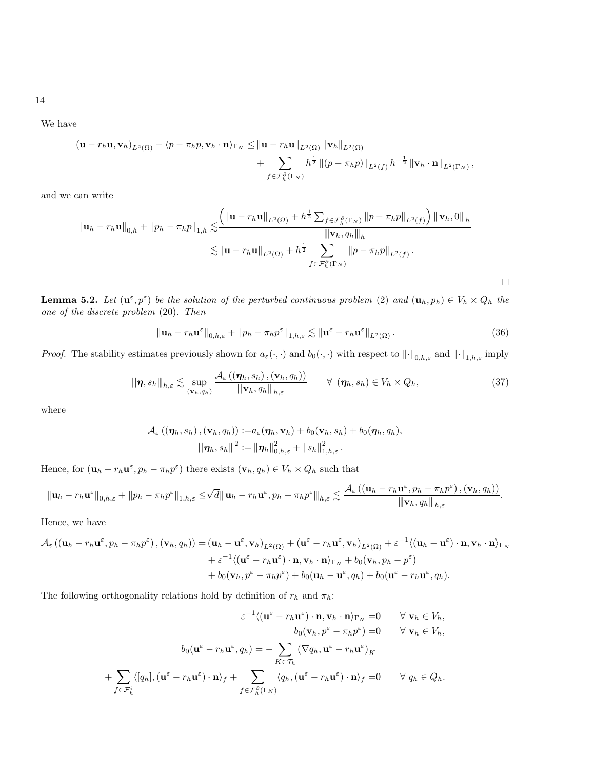14

We have

$$
\begin{aligned} \left(\mathbf{u}-r_h\mathbf{u},\mathbf{v}_h\right)_{L^2(\Omega)} &- \langle p-\pi_h p,\mathbf{v}_h\cdot\mathbf{n}\rangle_{\Gamma_N} \leq \left\|\mathbf{u}-r_h\mathbf{u}\right\|_{L^2(\Omega)} \left\|\mathbf{v}_h\right\|_{L^2(\Omega)} \\ &+ \sum_{f\in\mathcal{F}_h^{\partial}(\Gamma_N)} h^{\frac{1}{2}} \left\|\left(p-\pi_h p\right)\right\|_{L^2(f)} h^{-\frac{1}{2}} \left\|\mathbf{v}_h\cdot\mathbf{n}\right\|_{L^2(\Gamma_N)}, \end{aligned}
$$

and we can write

$$
\|\mathbf{u}_{h} - r_{h}\mathbf{u}\|_{0,h} + \|p_{h} - \pi_{h}p\|_{1,h} \lesssim \frac{\left(\|\mathbf{u} - r_{h}\mathbf{u}\|_{L^{2}(\Omega)} + h^{\frac{1}{2}}\sum_{f \in \mathcal{F}_{h}^{\partial}(\Gamma_{N})} \|p - \pi_{h}p\|_{L^{2}(f)}\right) \|\mathbf{v}_{h}, 0\|_{h}}{\|\mathbf{v}_{h}, q_{h}\|_{h}}
$$
  

$$
\lesssim \|\mathbf{u} - r_{h}\mathbf{u}\|_{L^{2}(\Omega)} + h^{\frac{1}{2}} \sum_{f \in \mathcal{F}_{h}^{\partial}(\Gamma_{N})} \|p - \pi_{h}p\|_{L^{2}(f)}.
$$

<span id="page-13-0"></span>**Lemma 5.2.** Let  $(\mathbf{u}^{\varepsilon}, p^{\varepsilon})$  be the solution of the perturbed continuous problem [\(2\)](#page-3-0) and  $(\mathbf{u}_h, p_h) \in V_h \times Q_h$  the one of the discrete problem [\(20\)](#page-8-1). Then

$$
\|\mathbf{u}_h - r_h \mathbf{u}^{\varepsilon}\|_{0,h,\varepsilon} + \|p_h - \pi_h p^{\varepsilon}\|_{1,h,\varepsilon} \lesssim \|\mathbf{u}^{\varepsilon} - r_h \mathbf{u}^{\varepsilon}\|_{L^2(\Omega)}.
$$
\n(36)

*Proof.* The stability estimates previously shown for  $a_{\varepsilon}(\cdot, \cdot)$  and  $b_0(\cdot, \cdot)$  with respect to  $\|\cdot\|_{0,h,\varepsilon}$  and  $\|\cdot\|_{1,h,\varepsilon}$  imply

$$
\|\eta, s_h\|_{h,\varepsilon} \lesssim \sup_{(\mathbf{v}_h, q_h)} \frac{\mathcal{A}_{\varepsilon}((\eta_h, s_h), (\mathbf{v}_h, q_h))}{\|\mathbf{v}_h, q_h\|_{h,\varepsilon}} \qquad \forall (\eta_h, s_h) \in V_h \times Q_h,
$$
\n(37)

where

$$
\mathcal{A}_{\varepsilon}\left(\left(\boldsymbol{\eta}_h, s_h\right), \left(\mathbf{v}_h, q_h\right)\right) := a_{\varepsilon}(\boldsymbol{\eta}_h, \mathbf{v}_h) + b_0(\mathbf{v}_h, s_h) + b_0(\boldsymbol{\eta}_h, q_h),
$$

$$
\left\|\boldsymbol{\eta}_h, s_h\right\|^2 := \left\|\boldsymbol{\eta}_h\right\|_{0, h, \varepsilon}^2 + \left\|s_h\right\|_{1, h, \varepsilon}^2.
$$

Hence, for  $(\mathbf{u}_h - r_h \mathbf{u}^\varepsilon, p_h - \pi_h p^\varepsilon)$  there exists  $(\mathbf{v}_h, q_h) \in V_h \times Q_h$  such that

$$
\|\mathbf{u}_{h}-r_{h}\mathbf{u}^{\varepsilon}\|_{0,h,\varepsilon}+\|p_{h}-\pi_{h}p^{\varepsilon}\|_{1,h,\varepsilon}\leq\sqrt{d}\|\mathbf{u}_{h}-r_{h}\mathbf{u}^{\varepsilon},p_{h}-\pi_{h}p^{\varepsilon}\|_{h,\varepsilon}\lesssim\frac{\mathcal{A}_{\varepsilon}\left(\left(\mathbf{u}_{h}-r_{h}\mathbf{u}^{\varepsilon},p_{h}-\pi_{h}p^{\varepsilon}\right),\left(\mathbf{v}_{h},q_{h}\right)\right)}{\|\mathbf{v}_{h},q_{h}\|_{h,\varepsilon}}.
$$

Hence, we have

$$
\mathcal{A}_{\varepsilon}\left((\mathbf{u}_{h}-r_{h}\mathbf{u}^{\varepsilon},p_{h}-\pi_{h}p^{\varepsilon}),(\mathbf{v}_{h},q_{h})\right)=(\mathbf{u}_{h}-\mathbf{u}^{\varepsilon},\mathbf{v}_{h})_{L^{2}(\Omega)}+(\mathbf{u}^{\varepsilon}-r_{h}\mathbf{u}^{\varepsilon},\mathbf{v}_{h})_{L^{2}(\Omega)}+\varepsilon^{-1}\langle(\mathbf{u}_{h}-\mathbf{u}^{\varepsilon})\cdot\mathbf{n},\mathbf{v}_{h}\cdot\mathbf{n}\rangle_{\Gamma_{N}}\\+\varepsilon^{-1}\langle(\mathbf{u}^{\varepsilon}-r_{h}\mathbf{u}^{\varepsilon})\cdot\mathbf{n},\mathbf{v}_{h}\cdot\mathbf{n}\rangle_{\Gamma_{N}}+b_{0}(\mathbf{v}_{h},p_{h}-p^{\varepsilon})\\+b_{0}(\mathbf{v}_{h},p^{\varepsilon}-\pi_{h}p^{\varepsilon})+b_{0}(\mathbf{u}_{h}-\mathbf{u}^{\varepsilon},q_{h})+b_{0}(\mathbf{u}^{\varepsilon}-r_{h}\mathbf{u}^{\varepsilon},q_{h}).
$$

The following orthogonality relations hold by definition of  $r_h$  and  $\pi_h\colon$ 

$$
\varepsilon^{-1}\langle (\mathbf{u}^{\varepsilon} - r_h \mathbf{u}^{\varepsilon}) \cdot \mathbf{n}, \mathbf{v}_h \cdot \mathbf{n} \rangle_{\Gamma_N} = 0 \quad \forall \mathbf{v}_h \in V_h,
$$
  
\n
$$
b_0(\mathbf{v}_h, p^{\varepsilon} - \pi_h p^{\varepsilon}) = 0 \quad \forall \mathbf{v}_h \in V_h,
$$
  
\n
$$
b_0(\mathbf{u}^{\varepsilon} - r_h \mathbf{u}^{\varepsilon}, q_h) = - \sum_{K \in \mathcal{T}_h} (\nabla q_h, \mathbf{u}^{\varepsilon} - r_h \mathbf{u}^{\varepsilon})_K
$$
  
\n
$$
+ \sum_{f \in \mathcal{F}_h^i} \langle [q_h], (\mathbf{u}^{\varepsilon} - r_h \mathbf{u}^{\varepsilon}) \cdot \mathbf{n} \rangle_f + \sum_{f \in \mathcal{F}_h^0(\Gamma_N)} \langle q_h, (\mathbf{u}^{\varepsilon} - r_h \mathbf{u}^{\varepsilon}) \cdot \mathbf{n} \rangle_f = 0 \quad \forall q_h \in Q_h.
$$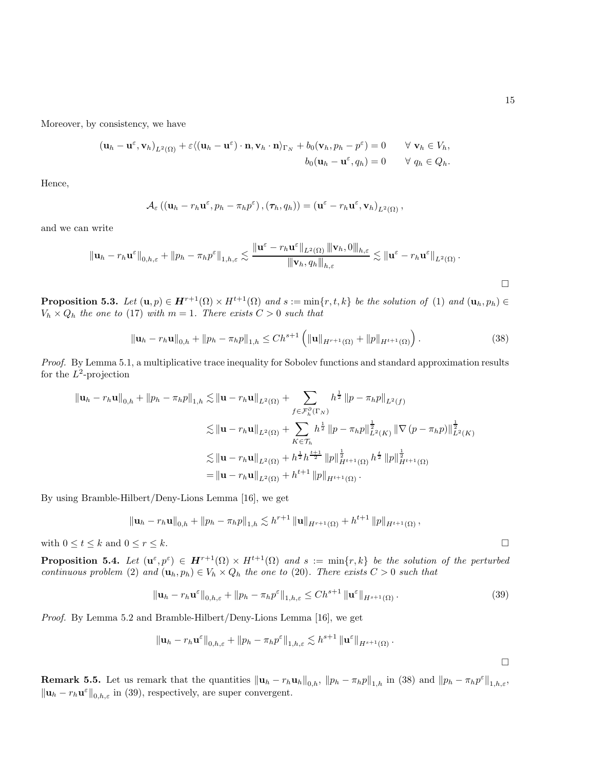$\Box$ 

Moreover, by consistency, we have

$$
(\mathbf{u}_h - \mathbf{u}^{\varepsilon}, \mathbf{v}_h)_{L^2(\Omega)} + \varepsilon \langle (\mathbf{u}_h - \mathbf{u}^{\varepsilon}) \cdot \mathbf{n}, \mathbf{v}_h \cdot \mathbf{n} \rangle_{\Gamma_N} + b_0(\mathbf{v}_h, p_h - p^{\varepsilon}) = 0 \quad \forall \mathbf{v}_h \in V_h,
$$
  

$$
b_0(\mathbf{u}_h - \mathbf{u}^{\varepsilon}, q_h) = 0 \quad \forall q_h \in Q_h.
$$

Hence,

$$
\mathcal{A}_{\varepsilon}\left((\mathbf{u}_{h}-r_{h}\mathbf{u}^{\varepsilon},p_{h}-\pi_{h}p^{\varepsilon}),(\boldsymbol{\tau}_{h},q_{h})\right)=(\mathbf{u}^{\varepsilon}-r_{h}\mathbf{u}^{\varepsilon},\mathbf{v}_{h})_{L^{2}(\Omega)},
$$

and we can write

$$
\|\mathbf{u}_{h}-r_{h}\mathbf{u}^{\varepsilon}\|_{0,h,\varepsilon}+\|p_{h}-\pi_{h}p^{\varepsilon}\|_{1,h,\varepsilon}\lesssim\frac{\|\mathbf{u}^{\varepsilon}-r_{h}\mathbf{u}^{\varepsilon}\|_{L^{2}(\Omega)}\|\mathbf{v}_{h},0\|_{h,\varepsilon}}{\|\mathbf{v}_{h},q_{h}\|_{h,\varepsilon}}\lesssim\|\mathbf{u}^{\varepsilon}-r_{h}\mathbf{u}^{\varepsilon}\|_{L^{2}(\Omega)}.
$$

<span id="page-14-2"></span>**Proposition 5.3.** Let  $(\mathbf{u}, p) \in \mathbf{H}^{r+1}(\Omega) \times H^{t+1}(\Omega)$  and  $s := \min\{r, t, k\}$  be the solution of [\(1\)](#page-2-0) and  $(\mathbf{u}_h, p_h) \in$  $V_h \times Q_h$  the one to [\(17\)](#page-8-0) with  $m = 1$ . There exists  $C > 0$  such that

<span id="page-14-0"></span>
$$
\|\mathbf{u}_h - r_h \mathbf{u}\|_{0,h} + \|p_h - \pi_h p\|_{1,h} \le Ch^{s+1} \left( \|\mathbf{u}\|_{H^{r+1}(\Omega)} + \|p\|_{H^{t+1}(\Omega)} \right). \tag{38}
$$

Proof. By Lemma [5.1,](#page-12-2) a multiplicative trace inequality for Sobolev functions and standard approximation results for the  $L^2$ -projection

$$
\begin{split} \|\mathbf{u}_{h} - r_{h}\mathbf{u}\|_{0,h} + \|p_{h} - \pi_{h}p\|_{1,h} &\lesssim \|\mathbf{u} - r_{h}\mathbf{u}\|_{L^{2}(\Omega)} + \sum_{f \in \mathcal{F}_{h}^{\partial}(\Gamma_{N})} h^{\frac{1}{2}} \|p - \pi_{h}p\|_{L^{2}(f)} \\ &\lesssim \|\mathbf{u} - r_{h}\mathbf{u}\|_{L^{2}(\Omega)} + \sum_{K \in \mathcal{T}_{h}} h^{\frac{1}{2}} \|p - \pi_{h}p\|_{L^{2}(K)}^{\frac{1}{2}} \|\nabla (p - \pi_{h}p)\|_{L^{2}(K)}^{\frac{1}{2}} \\ &\lesssim \|\mathbf{u} - r_{h}\mathbf{u}\|_{L^{2}(\Omega)} + h^{\frac{1}{2}} h^{\frac{t+1}{2}} \|p\|_{H^{t+1}(\Omega)}^{\frac{1}{2}} h^{\frac{t}{2}} \|p\|_{H^{t+1}(\Omega)}^{\frac{1}{2}} \\ &= \|\mathbf{u} - r_{h}\mathbf{u}\|_{L^{2}(\Omega)} + h^{t+1} \|p\|_{H^{t+1}(\Omega)}. \end{split}
$$

By using Bramble-Hilbert/Deny-Lions Lemma [\[16\]](#page-30-13), we get

$$
\|\mathbf{u}_{h}-r_{h}\mathbf{u}\|_{0,h}+\|p_{h}-\pi_{h}p\|_{1,h}\lesssim h^{r+1}\left\|\mathbf{u}\right\|_{H^{r+1}(\Omega)}+h^{t+1}\left\|p\right\|_{H^{t+1}(\Omega)},
$$

with  $0 \le t \le k$  and  $0 \le r \le k$ .

<span id="page-14-3"></span>**Proposition 5.4.** Let  $(\mathbf{u}^{\varepsilon}, p^{\varepsilon}) \in \mathbf{H}^{r+1}(\Omega) \times H^{t+1}(\Omega)$  and  $s := \min\{r, k\}$  be the solution of the perturbed continuous problem [\(2\)](#page-3-0) and  $(\mathbf{u}_h, p_h) \in V_h \times Q_h$  the one to [\(20\)](#page-8-1). There exists  $C > 0$  such that

<span id="page-14-1"></span>
$$
\|\mathbf{u}_h - r_h \mathbf{u}^\varepsilon\|_{0,h,\varepsilon} + \|p_h - \pi_h p^\varepsilon\|_{1,h,\varepsilon} \le Ch^{s+1} \|\mathbf{u}^\varepsilon\|_{H^{s+1}(\Omega)}.
$$
\n(39)

*Proof.* By Lemma [5.2](#page-13-0) and Bramble-Hilbert/Deny-Lions Lemma  $|16|$ , we get

$$
\|\mathbf{u}_{h} - r_{h}\mathbf{u}^{\varepsilon}\|_{0,h,\varepsilon} + \|p_{h} - \pi_{h}p^{\varepsilon}\|_{1,h,\varepsilon} \lesssim h^{s+1} \|\mathbf{u}^{\varepsilon}\|_{H^{s+1}(\Omega)}.
$$

**Remark 5.5.** Let us remark that the quantities  $\|\mathbf{u}_h - r_h \mathbf{u}_h\|_{0,h}$ ,  $\|p_h - \pi_h p\|_{1,h}$  in [\(38\)](#page-14-0) and  $\|p_h - \pi_h p^{\varepsilon}\|_{1,h,\varepsilon}$ ,  $\|\mathbf{u}_h - r_h\mathbf{u}^\varepsilon\|_{0,h,\varepsilon}$  in [\(39\)](#page-14-1), respectively, are super convergent.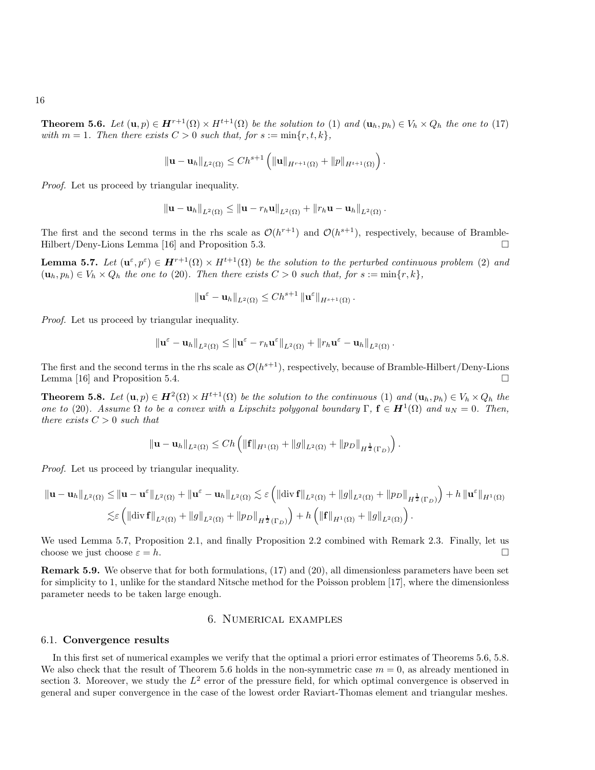<span id="page-15-1"></span>**Theorem 5.6.** Let  $(\mathbf{u}, p) \in \mathbf{H}^{r+1}(\Omega) \times H^{t+1}(\Omega)$  be the solution to [\(1\)](#page-2-0) and  $(\mathbf{u}_h, p_h) \in V_h \times Q_h$  the one to [\(17\)](#page-8-0) with  $m = 1$ . Then there exists  $C > 0$  such that, for  $s := \min\{r, t, k\}$ ,

$$
\|\mathbf{u}-\mathbf{u}_h\|_{L^2(\Omega)} \le Ch^{s+1}\left(\|\mathbf{u}\|_{H^{r+1}(\Omega)}+\|p\|_{H^{t+1}(\Omega)}\right).
$$

Proof. Let us proceed by triangular inequality.

$$
\|\mathbf{u}-\mathbf{u}_h\|_{L^2(\Omega)} \le \|\mathbf{u}-r_h\mathbf{u}\|_{L^2(\Omega)} + \|r_h\mathbf{u}-\mathbf{u}_h\|_{L^2(\Omega)}.
$$

The first and the second terms in the rhs scale as  $\mathcal{O}(h^{r+1})$  and  $\mathcal{O}(h^{s+1})$ , respectively, because of Bramble-Hilbert/Deny-Lions Lemma [\[16\]](#page-30-13) and Proposition [5.3.](#page-14-2)

<span id="page-15-0"></span>**Lemma 5.7.** Let  $(\mathbf{u}^{\varepsilon}, p^{\varepsilon}) \in \mathbf{H}^{r+1}(\Omega) \times H^{t+1}(\Omega)$  be the solution to the perturbed continuous problem [\(2\)](#page-3-0) and  $(\mathbf{u}_h, p_h) \in V_h \times Q_h$  the one to [\(20\)](#page-8-1). Then there exists  $C > 0$  such that, for  $s := \min\{r, k\},$ 

$$
\left\|\mathbf{u}^{\varepsilon}-\mathbf{u}_{h}\right\|_{L^{2}(\Omega)}\leq Ch^{s+1}\left\|\mathbf{u}^{\varepsilon}\right\|_{H^{s+1}(\Omega)}.
$$

Proof. Let us proceed by triangular inequality.

$$
\left\|\mathbf{u}^{\varepsilon}-\mathbf{u}_h\right\|_{L^2(\Omega)} \leq \left\|\mathbf{u}^{\varepsilon}-r_h\mathbf{u}^{\varepsilon}\right\|_{L^2(\Omega)} + \left\|r_h\mathbf{u}^{\varepsilon}-\mathbf{u}_h\right\|_{L^2(\Omega)}.
$$

The first and the second terms in the rhs scale as  $\mathcal{O}(h^{s+1})$ , respectively, because of Bramble-Hilbert/Deny-Lions Lemma [\[16\]](#page-30-13) and Proposition [5.4.](#page-14-3)  $\Box$ 

<span id="page-15-2"></span>**Theorem 5.8.** Let  $(\mathbf{u}, p) \in \mathbf{H}^2(\Omega) \times H^{t+1}(\Omega)$  be the solution to the continuous [\(1\)](#page-2-0) and  $(\mathbf{u}_h, p_h) \in V_h \times Q_h$  the one to [\(20\)](#page-8-1). Assume  $\Omega$  to be a convex with a Lipschitz polygonal boundary  $\Gamma$ ,  $\mathbf{f} \in \mathbf{H}^1(\Omega)$  and  $u_N = 0$ . Then, there exists  $C > 0$  such that

$$
\|\mathbf{u}-\mathbf{u}_h\|_{L^2(\Omega)} \le Ch\left(\|\mathbf{f}\|_{H^1(\Omega)} + \|g\|_{L^2(\Omega)} + \|p_D\|_{H^{\frac{1}{2}}(\Gamma_D)}\right).
$$

Proof. Let us proceed by triangular inequality.

$$
\begin{aligned}\n\|\mathbf{u} - \mathbf{u}_h\|_{L^2(\Omega)} &\leq \|\mathbf{u} - \mathbf{u}^\varepsilon\|_{L^2(\Omega)} + \|\mathbf{u}^\varepsilon - \mathbf{u}_h\|_{L^2(\Omega)} \lesssim \varepsilon \left( \|\text{div } \mathbf{f} \|_{L^2(\Omega)} + \|g\|_{L^2(\Omega)} + \|p_D\|_{H^{\frac{1}{2}}(\Gamma_D)} \right) + h \|\mathbf{u}^\varepsilon\|_{H^1(\Omega)} \\
&\lesssim \varepsilon \left( \|\text{div } \mathbf{f} \|_{L^2(\Omega)} + \|g\|_{L^2(\Omega)} + \|p_D\|_{H^{\frac{1}{2}}(\Gamma_D)} \right) + h \left( \|\mathbf{f} \|_{H^1(\Omega)} + \|g\|_{L^2(\Omega)} \right).\n\end{aligned}
$$

We used Lemma [5.7,](#page-15-0) Proposition [2.1,](#page-3-6) and finally Proposition [2.2](#page-4-2) combined with Remark [2.3.](#page-6-0) Finally, let us choose we just choose  $\varepsilon = h$ .

Remark 5.9. We observe that for both formulations, [\(17\)](#page-8-0) and [\(20\)](#page-8-1), all dimensionless parameters have been set for simplicity to 1, unlike for the standard Nitsche method for the Poisson problem [\[17\]](#page-30-3), where the dimensionless parameter needs to be taken large enough.

# 6. Numerical examples

#### 6.1. Convergence results

In this first set of numerical examples we verify that the optimal a priori error estimates of Theorems [5.6,](#page-15-1) [5.8.](#page-15-2) We also check that the result of Theorem [5.6](#page-15-1) holds in the non-symmetric case  $m = 0$ , as already mentioned in section [3.](#page-6-1) Moreover, we study the  $L^2$  error of the pressure field, for which optimal convergence is observed in general and super convergence in the case of the lowest order Raviart-Thomas element and triangular meshes.

16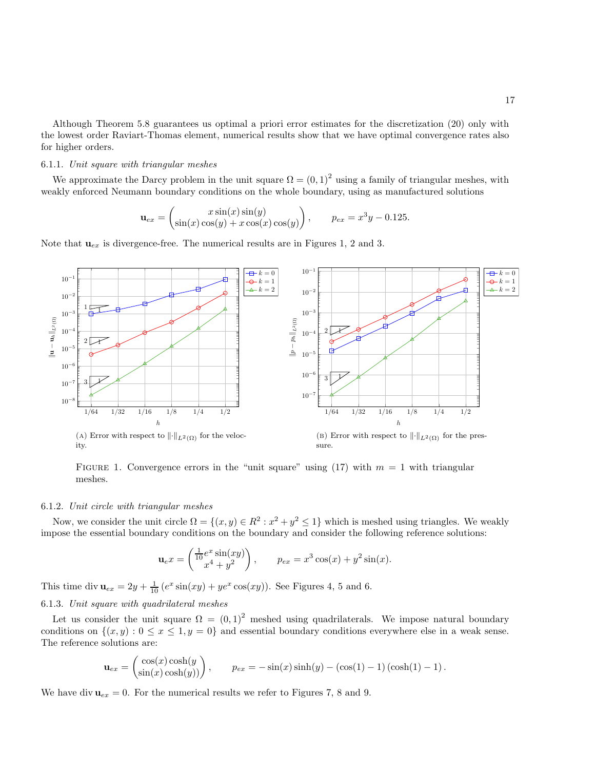Although Theorem [5.8](#page-15-2) guarantees us optimal a priori error estimates for the discretization [\(20\)](#page-8-1) only with the lowest order Raviart-Thomas element, numerical results show that we have optimal convergence rates also for higher orders.

### <span id="page-16-1"></span>6.1.1. Unit square with triangular meshes

We approximate the Darcy problem in the unit square  $\Omega = (0, 1)^2$  using a family of triangular meshes, with weakly enforced Neumann boundary conditions on the whole boundary, using as manufactured solutions

$$
\mathbf{u}_{ex} = \begin{pmatrix} x\sin(x)\sin(y) \\ \sin(x)\cos(y) + x\cos(x)\cos(y) \end{pmatrix}, \qquad p_{ex} = x^3y - 0.125.
$$

<span id="page-16-0"></span>Note that  $u_{ex}$  is divergence-free. The numerical results are in Figures [1,](#page-16-0) [2](#page-17-0) and [3.](#page-17-1)



FIGURE 1. Convergence errors in the "unit square" using [\(17\)](#page-8-0) with  $m = 1$  with triangular meshes.

#### <span id="page-16-2"></span>6.1.2. Unit circle with triangular meshes

Now, we consider the unit circle  $\Omega = \{(x, y) \in \mathbb{R}^2 : x^2 + y^2 \le 1\}$  which is meshed using triangles. We weakly impose the essential boundary conditions on the boundary and consider the following reference solutions:

$$
\mathbf{u}_e x = \begin{pmatrix} \frac{1}{10} e^x \sin(xy) \\ x^4 + y^2 \end{pmatrix}, \qquad p_{ex} = x^3 \cos(x) + y^2 \sin(x).
$$

This time div  $\mathbf{u}_{ex} = 2y + \frac{1}{10} (e^x \sin(xy) + ye^x \cos(xy))$ . See Figures [4,](#page-18-0) [5](#page-18-1) and [6.](#page-19-0)

### <span id="page-16-3"></span>6.1.3. Unit square with quadrilateral meshes

Let us consider the unit square  $\Omega = (0, 1)^2$  meshed using quadrilaterals. We impose natural boundary conditions on  $\{(x, y): 0 \le x \le 1, y = 0\}$  and essential boundary conditions everywhere else in a weak sense. The reference solutions are:

$$
\mathbf{u}_{ex} = \begin{pmatrix} \cos(x)\cosh(y) \\ \sin(x)\cosh(y) \end{pmatrix}, \qquad p_{ex} = -\sin(x)\sinh(y) - (\cos(1) - 1)(\cosh(1) - 1).
$$

We have div  $u_{ex} = 0$ . For the numerical results we refer to Figures [7,](#page-19-1) [8](#page-20-0) and [9.](#page-20-1)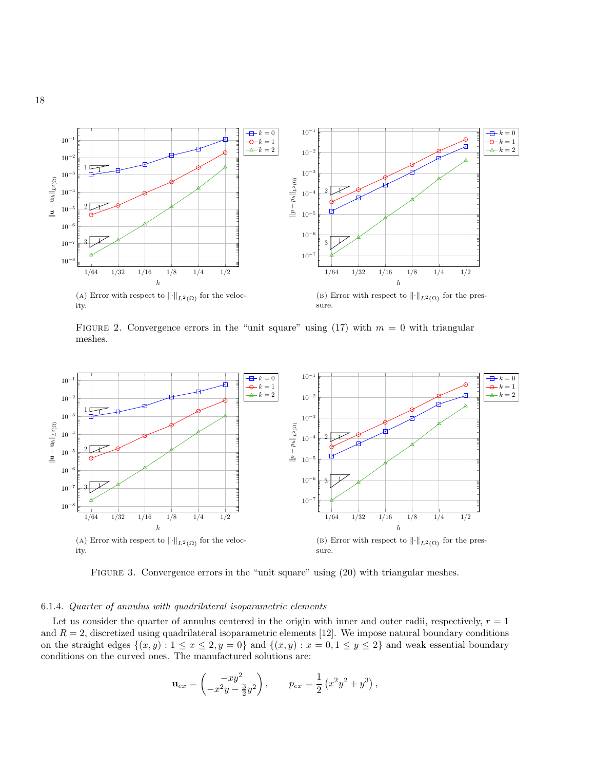<span id="page-17-0"></span>

FIGURE 2. Convergence errors in the "unit square" using  $(17)$  with  $m = 0$  with triangular meshes.

<span id="page-17-1"></span>

FIGURE 3. Convergence errors in the "unit square" using  $(20)$  with triangular meshes.

### <span id="page-17-2"></span>6.1.4. Quarter of annulus with quadrilateral isoparametric elements

Let us consider the quarter of annulus centered in the origin with inner and outer radii, respectively,  $r = 1$ and  $R = 2$ , discretized using quadrilateral isoparametric elements [\[12\]](#page-30-14). We impose natural boundary conditions on the straight edges  $\{(x, y) : 1 \le x \le 2, y = 0\}$  and  $\{(x, y) : x = 0, 1 \le y \le 2\}$  and weak essential boundary conditions on the curved ones. The manufactured solutions are:

$$
\mathbf{u}_{ex} = \begin{pmatrix} -xy^2 \\ -x^2y - \frac{3}{2}y^2 \end{pmatrix}, \qquad p_{ex} = \frac{1}{2} (x^2y^2 + y^3),
$$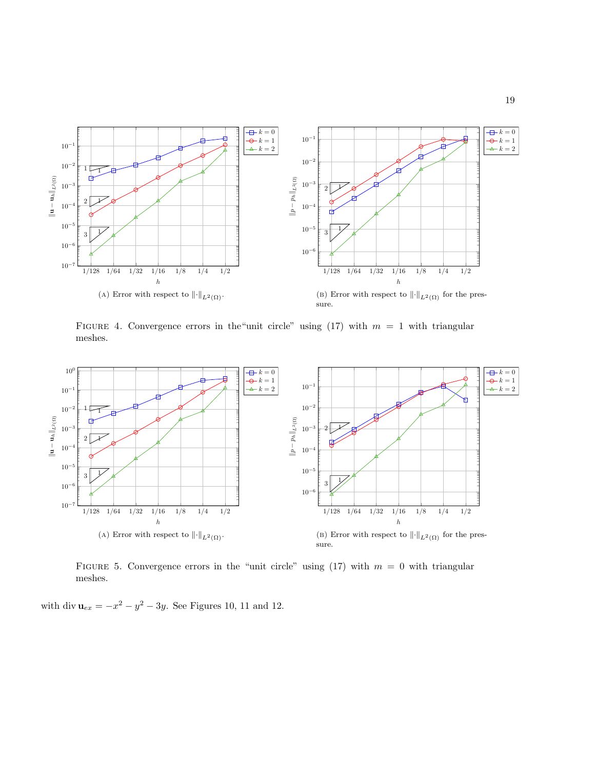<span id="page-18-0"></span>

FIGURE 4. Convergence errors in the "unit circle" using [\(17\)](#page-8-0) with  $m = 1$  with triangular meshes.

<span id="page-18-1"></span>

FIGURE 5. Convergence errors in the "unit circle" using [\(17\)](#page-8-0) with  $m = 0$  with triangular meshes.

with div  $u_{ex} = -x^2 - y^2 - 3y$ . See Figures [10,](#page-21-0) [11](#page-21-1) and [12.](#page-22-0)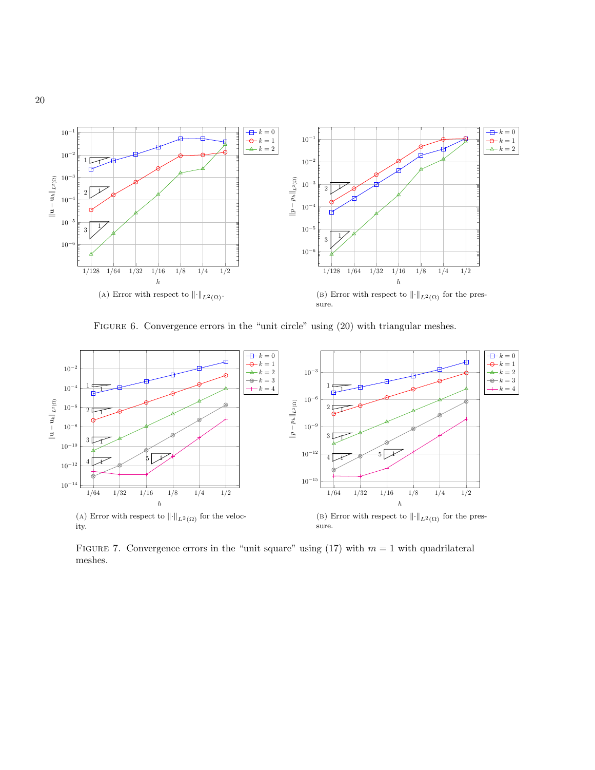<span id="page-19-0"></span>

FIGURE 6. Convergence errors in the "unit circle" using  $(20)$  with triangular meshes.

<span id="page-19-1"></span>

FIGURE 7. Convergence errors in the "unit square" using [\(17\)](#page-8-0) with  $m = 1$  with quadrilateral meshes.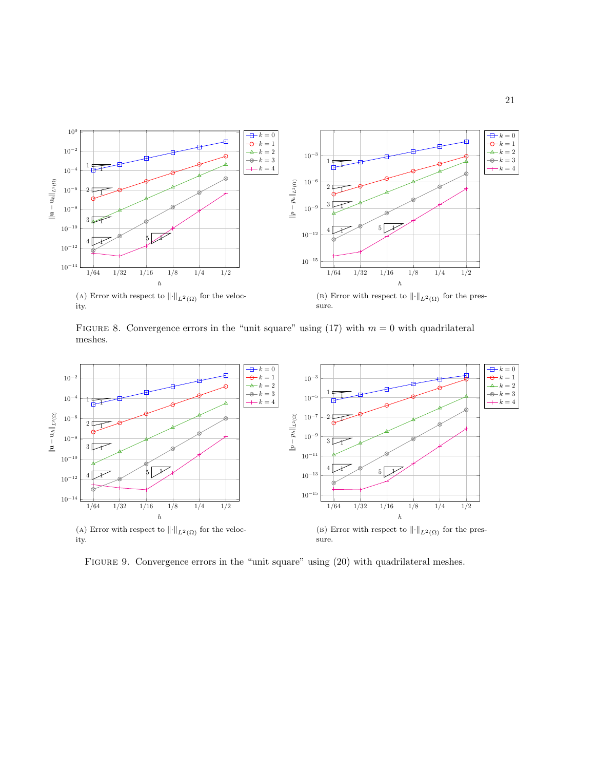<span id="page-20-0"></span>

FIGURE 8. Convergence errors in the "unit square" using [\(17\)](#page-8-0) with  $m = 0$  with quadrilateral meshes.

<span id="page-20-1"></span>

FIGURE 9. Convergence errors in the "unit square" using  $(20)$  with quadrilateral meshes.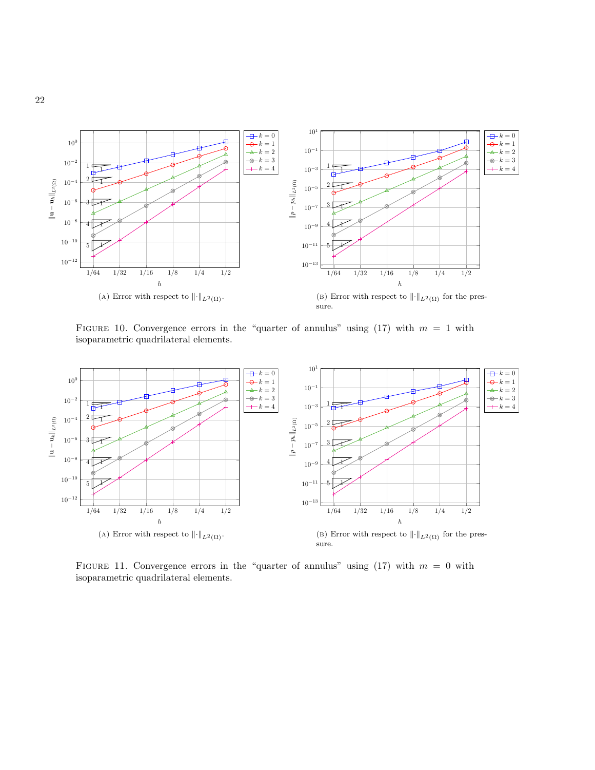<span id="page-21-0"></span>

FIGURE 10. Convergence errors in the "quarter of annulus" using  $(17)$  with  $m = 1$  with isoparametric quadrilateral elements.

<span id="page-21-1"></span>

FIGURE 11. Convergence errors in the "quarter of annulus" using  $(17)$  with  $m = 0$  with isoparametric quadrilateral elements.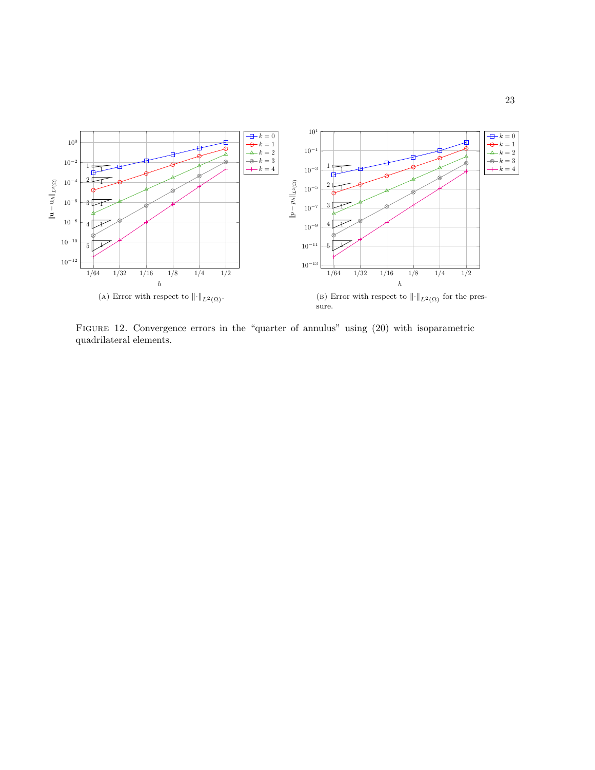<span id="page-22-0"></span>

FIGURE 12. Convergence errors in the "quarter of annulus" using  $(20)$  with isoparametric quadrilateral elements.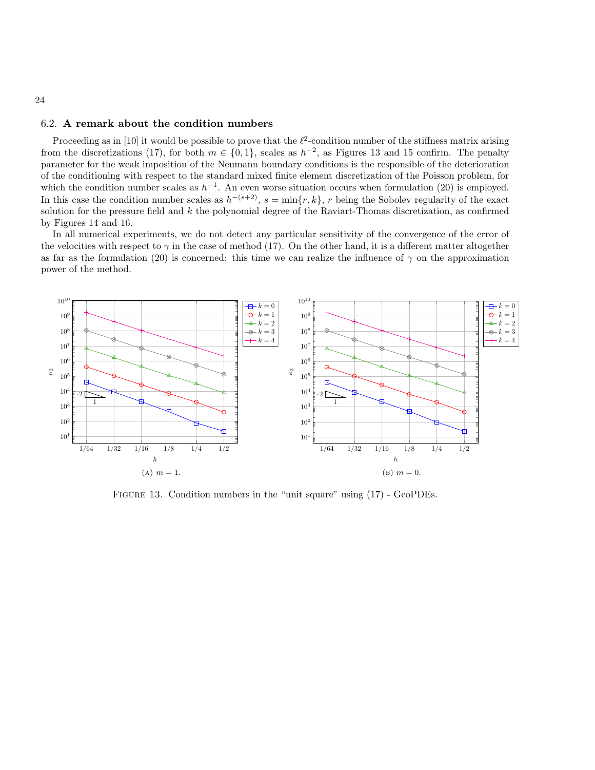## <span id="page-23-0"></span>6.2. A remark about the condition numbers

Proceeding as in [\[10\]](#page-30-15) it would be possible to prove that the  $\ell^2$ -condition number of the stiffness matrix arising from the discretizations [\(17\)](#page-8-0), for both  $m \in \{0, 1\}$ , scales as  $h^{-2}$ , as Figures [13](#page-23-1) and [15](#page-24-0) confirm. The penalty parameter for the weak imposition of the Neumann boundary conditions is the responsible of the deterioration of the conditioning with respect to the standard mixed finite element discretization of the Poisson problem, for which the condition number scales as  $h^{-1}$ . An even worse situation occurs when formulation [\(20\)](#page-8-1) is employed. In this case the condition number scales as  $h^{-(s+2)}$ ,  $s = \min\{r, k\}$ , r being the Sobolev regularity of the exact solution for the pressure field and k the polynomial degree of the Raviart-Thomas discretization, as confirmed by Figures [14](#page-24-1) and [16.](#page-25-0)

In all numerical experiments, we do not detect any particular sensitivity of the convergence of the error of the velocities with respect to  $\gamma$  in the case of method [\(17\)](#page-8-0). On the other hand, it is a different matter altogether as far as the formulation [\(20\)](#page-8-1) is concerned: this time we can realize the influence of  $\gamma$  on the approximation power of the method.

<span id="page-23-1"></span>

Figure 13. Condition numbers in the "unit square" using [\(17\)](#page-8-0) - GeoPDEs.

#### 24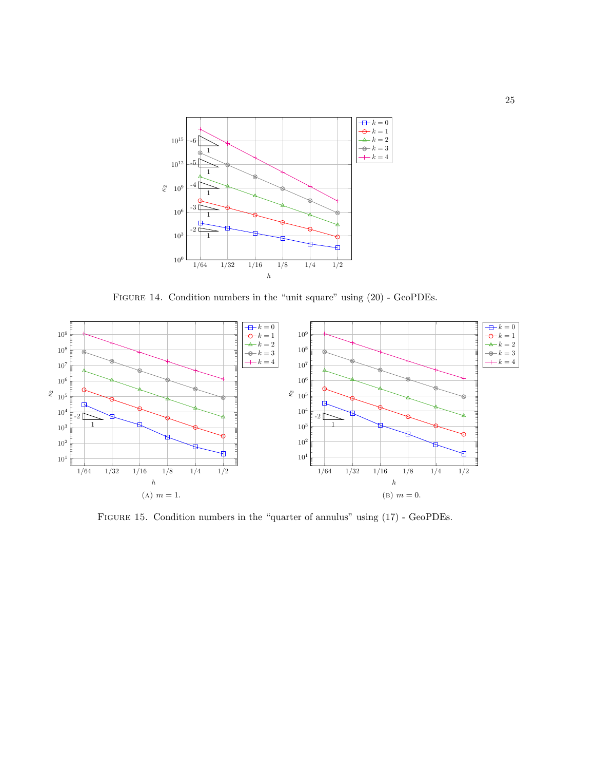<span id="page-24-1"></span>

Figure 14. Condition numbers in the "unit square" using [\(20\)](#page-8-1) - GeoPDEs.

<span id="page-24-0"></span>

Figure 15. Condition numbers in the "quarter of annulus" using [\(17\)](#page-8-0) - GeoPDEs.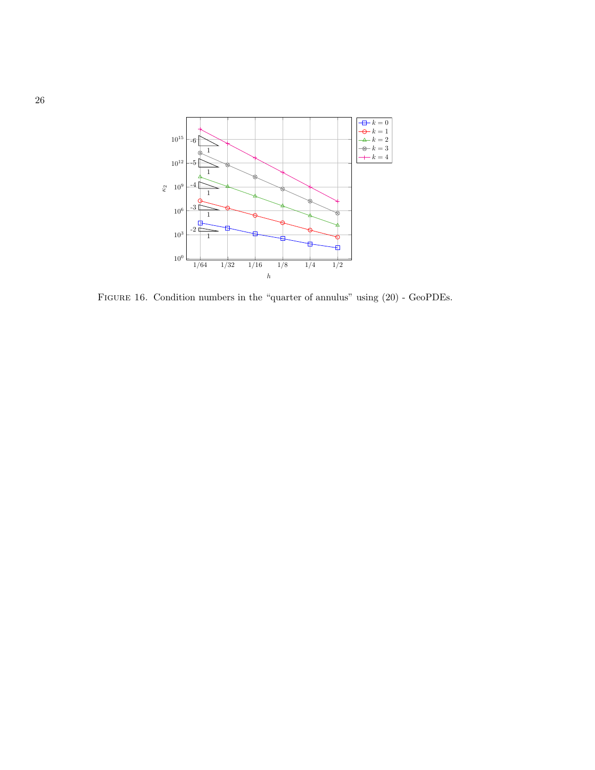<span id="page-25-0"></span>

Figure 16. Condition numbers in the "quarter of annulus" using [\(20\)](#page-8-1) - GeoPDEs.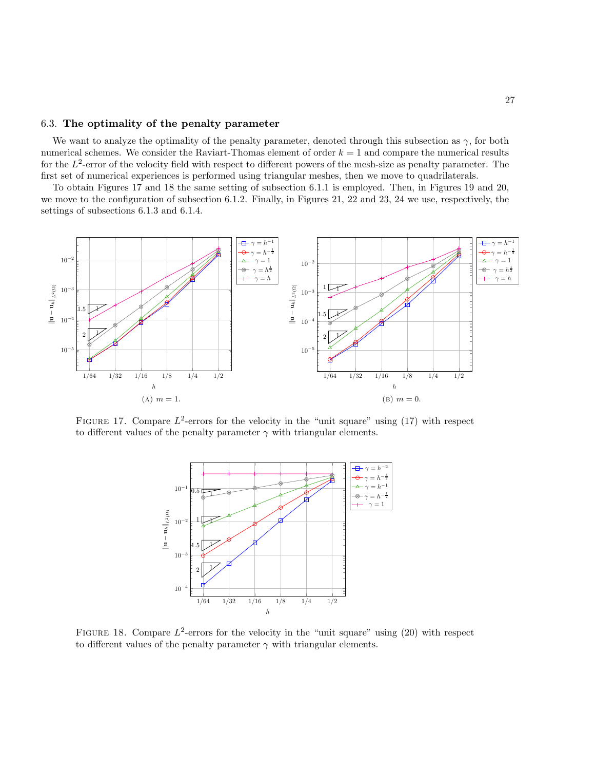### 6.3. The optimality of the penalty parameter

We want to analyze the optimality of the penalty parameter, denoted through this subsection as  $\gamma$ , for both numerical schemes. We consider the Raviart-Thomas element of order  $k = 1$  and compare the numerical results for the  $L^2$ -error of the velocity field with respect to different powers of the mesh-size as penalty parameter. The first set of numerical experiences is performed using triangular meshes, then we move to quadrilaterals.

To obtain Figures [17](#page-26-0) and [18](#page-26-1) the same setting of subsection [6.1.1](#page-16-1) is employed. Then, in Figures [19](#page-27-0) and [20,](#page-27-1) we move to the configuration of subsection [6.1.2.](#page-16-2) Finally, in Figures [21,](#page-28-0) [22](#page-28-1) and [23,](#page-29-0) [24](#page-29-1) we use, respectively, the settings of subsections [6.1.3](#page-16-3) and [6.1.4.](#page-17-2)

<span id="page-26-0"></span>

<span id="page-26-1"></span>FIGURE 17. Compare  $L^2$ -errors for the velocity in the "unit square" using [\(17\)](#page-8-0) with respect to different values of the penalty parameter  $\gamma$  with triangular elements.



FIGURE 18. Compare  $L^2$ -errors for the velocity in the "unit square" using [\(20\)](#page-8-1) with respect to different values of the penalty parameter  $\gamma$  with triangular elements.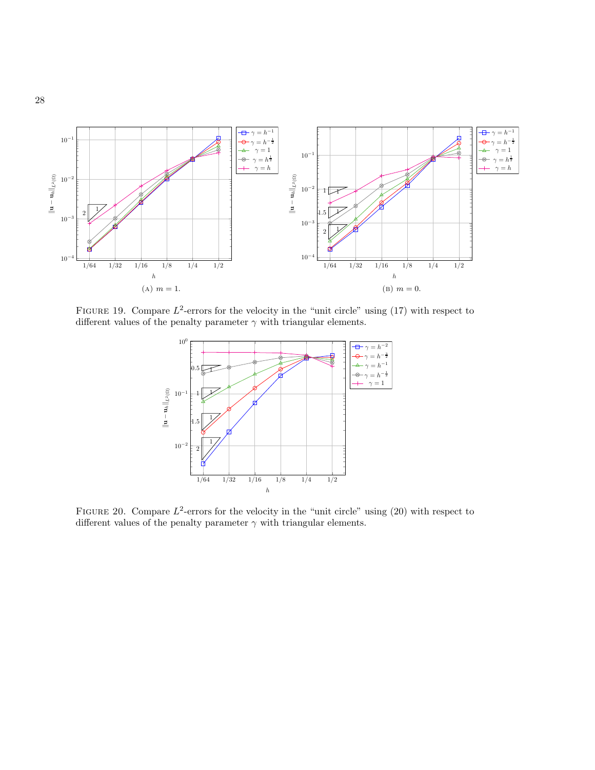<span id="page-27-0"></span>

<span id="page-27-1"></span>FIGURE 19. Compare  $L^2$ -errors for the velocity in the "unit circle" using [\(17\)](#page-8-0) with respect to different values of the penalty parameter  $\gamma$  with triangular elements.



FIGURE 20. Compare  $L^2$ -errors for the velocity in the "unit circle" using [\(20\)](#page-8-1) with respect to different values of the penalty parameter  $\gamma$  with triangular elements.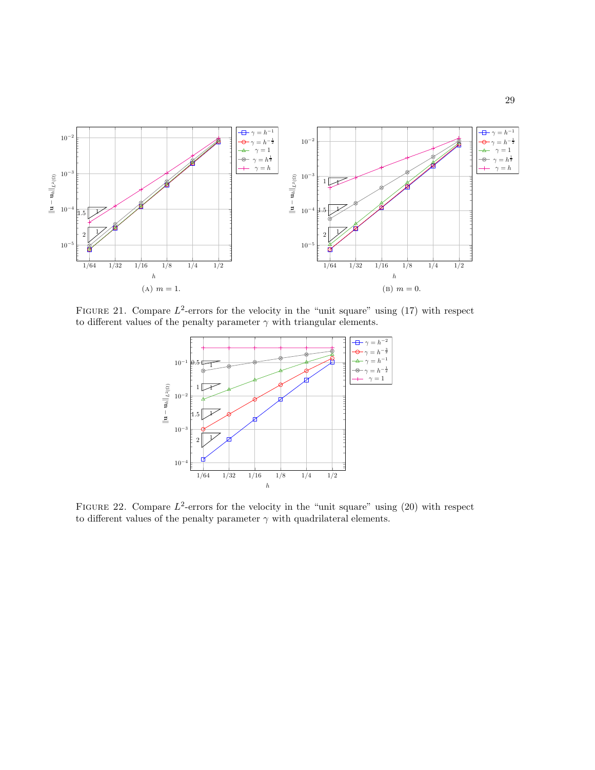<span id="page-28-0"></span>

<span id="page-28-1"></span>FIGURE 21. Compare  $L^2$ -errors for the velocity in the "unit square" using [\(17\)](#page-8-0) with respect to different values of the penalty parameter  $\gamma$  with triangular elements.



FIGURE 22. Compare  $L^2$ -errors for the velocity in the "unit square" using [\(20\)](#page-8-1) with respect to different values of the penalty parameter  $\gamma$  with quadrilateral elements.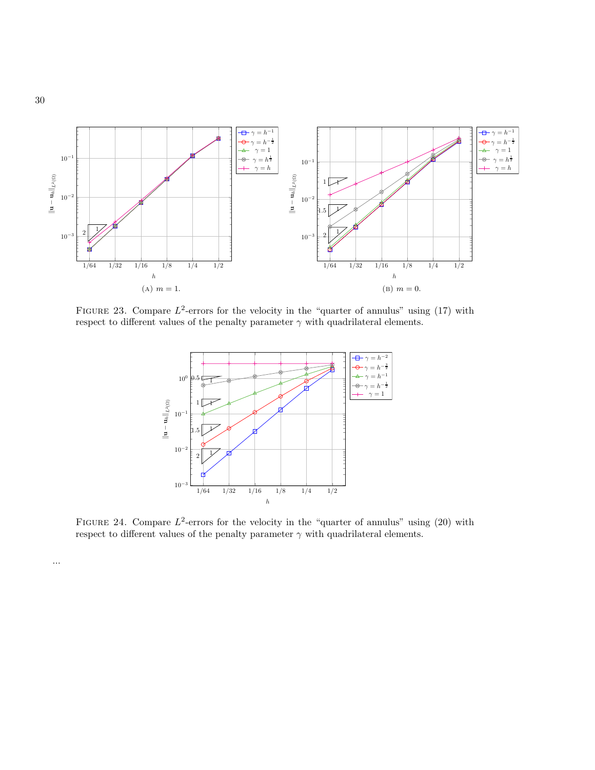<span id="page-29-0"></span>

<span id="page-29-1"></span>FIGURE 23. Compare  $L^2$ -errors for the velocity in the "quarter of annulus" using [\(17\)](#page-8-0) with respect to different values of the penalty parameter  $\gamma$  with quadrilateral elements.



FIGURE 24. Compare  $L^2$ -errors for the velocity in the "quarter of annulus" using [\(20\)](#page-8-1) with respect to different values of the penalty parameter  $\gamma$  with quadrilateral elements.

...